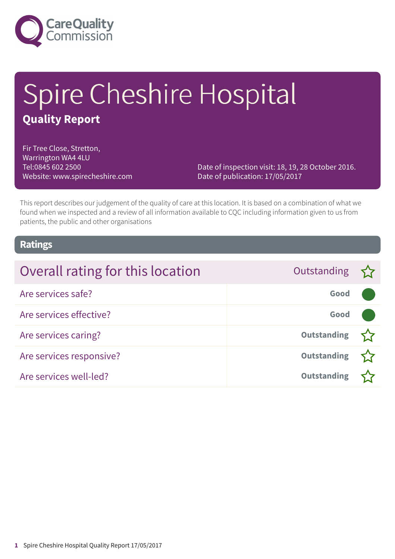

# Spire Cheshire Hospital **Quality Report**

Fir Tree Close, Stretton, Warrington WA4 4LU Tel:0845 602 2500 Website: www.spirecheshire.com

Date of inspection visit: 18, 19, 28 October 2016. Date of publication: 17/05/2017

This report describes our judgement of the quality of care at this location. It is based on a combination of what we found when we inspected and a review of all information available to CQC including information given to us from patients, the public and other organisations

### **Ratings**

| Overall rating for this location | Outstanding        |  |
|----------------------------------|--------------------|--|
| Are services safe?               | Good               |  |
| Are services effective?          | Good               |  |
| Are services caring?             | <b>Outstanding</b> |  |
| Are services responsive?         | <b>Outstanding</b> |  |
| Are services well-led?           | <b>Outstanding</b> |  |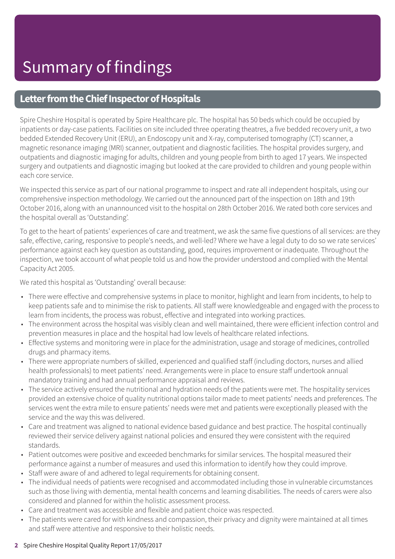### **Letter from the Chief Inspector of Hospitals**

Spire Cheshire Hospital is operated by Spire Healthcare plc. The hospital has 50 beds which could be occupied by inpatients or day-case patients. Facilities on site included three operating theatres, a five bedded recovery unit, a two bedded Extended Recovery Unit (ERU), an Endoscopy unit and X-ray, computerised tomography (CT) scanner, a magnetic resonance imaging (MRI) scanner, outpatient and diagnostic facilities. The hospital provides surgery, and outpatients and diagnostic imaging for adults, children and young people from birth to aged 17 years. We inspected surgery and outpatients and diagnostic imaging but looked at the care provided to children and young people within each core service.

We inspected this service as part of our national programme to inspect and rate all independent hospitals, using our comprehensive inspection methodology. We carried out the announced part of the inspection on 18th and 19th October 2016, along with an unannounced visit to the hospital on 28th October 2016. We rated both core services and the hospital overall as 'Outstanding'.

To get to the heart of patients' experiences of care and treatment, we ask the same five questions of all services: are they safe, effective, caring, responsive to people's needs, and well-led? Where we have a legal duty to do so we rate services' performance against each key question as outstanding, good, requires improvement or inadequate. Throughout the inspection, we took account of what people told us and how the provider understood and complied with the Mental Capacity Act 2005.

We rated this hospital as 'Outstanding' overall because:

- There were effective and comprehensive systems in place to monitor, highlight and learn from incidents, to help to keep patients safe and to minimise the risk to patients. All staff were knowledgeable and engaged with the process to learn from incidents, the process was robust, effective and integrated into working practices.
- The environment across the hospital was visibly clean and well maintained, there were efficient infection control and prevention measures in place and the hospital had low levels of healthcare related infections.
- Effective systems and monitoring were in place for the administration, usage and storage of medicines, controlled drugs and pharmacy items.
- There were appropriate numbers of skilled, experienced and qualified staff (including doctors, nurses and allied health professionals) to meet patients' need. Arrangements were in place to ensure staff undertook annual mandatory training and had annual performance appraisal and reviews.
- The service actively ensured the nutritional and hydration needs of the patients were met. The hospitality services provided an extensive choice of quality nutritional options tailor made to meet patients' needs and preferences. The services went the extra mile to ensure patients' needs were met and patients were exceptionally pleased with the service and the way this was delivered.
- Care and treatment was aligned to national evidence based guidance and best practice. The hospital continually reviewed their service delivery against national policies and ensured they were consistent with the required standards.
- Patient outcomes were positive and exceeded benchmarks for similar services. The hospital measured their performance against a number of measures and used this information to identify how they could improve.
- Staff were aware of and adhered to legal requirements for obtaining consent.
- The individual needs of patients were recognised and accommodated including those in vulnerable circumstances such as those living with dementia, mental health concerns and learning disabilities. The needs of carers were also considered and planned for within the holistic assessment process.
- Care and treatment was accessible and flexible and patient choice was respected.
- The patients were cared for with kindness and compassion, their privacy and dignity were maintained at all times and staff were attentive and responsive to their holistic needs.

#### **2** Spire Cheshire Hospital Quality Report 17/05/2017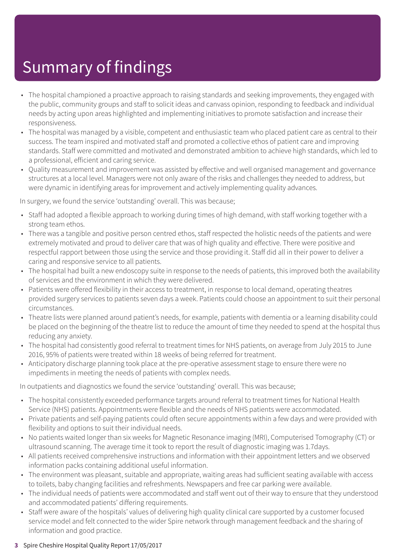- The hospital championed a proactive approach to raising standards and seeking improvements, they engaged with the public, community groups and staff to solicit ideas and canvass opinion, responding to feedback and individual needs by acting upon areas highlighted and implementing initiatives to promote satisfaction and increase their responsiveness.
- The hospital was managed by a visible, competent and enthusiastic team who placed patient care as central to their success. The team inspired and motivated staff and promoted a collective ethos of patient care and improving standards. Staff were committed and motivated and demonstrated ambition to achieve high standards, which led to a professional, efficient and caring service.
- Quality measurement and improvement was assisted by effective and well organised management and governance structures at a local level. Managers were not only aware of the risks and challenges they needed to address, but were dynamic in identifying areas for improvement and actively implementing quality advances.

In surgery, we found the service 'outstanding' overall. This was because;

- Staff had adopted a flexible approach to working during times of high demand, with staff working together with a strong team ethos.
- There was a tangible and positive person centred ethos, staff respected the holistic needs of the patients and were extremely motivated and proud to deliver care that was of high quality and effective. There were positive and respectful rapport between those using the service and those providing it. Staff did all in their power to deliver a caring and responsive service to all patients.
- The hospital had built a new endoscopy suite in response to the needs of patients, this improved both the availability of services and the environment in which they were delivered.
- Patients were offered flexibility in their access to treatment, in response to local demand, operating theatres provided surgery services to patients seven days a week. Patients could choose an appointment to suit their personal circumstances.
- Theatre lists were planned around patient's needs, for example, patients with dementia or a learning disability could be placed on the beginning of the theatre list to reduce the amount of time they needed to spend at the hospital thus reducing any anxiety.
- The hospital had consistently good referral to treatment times for NHS patients, on average from July 2015 to June 2016, 95% of patients were treated within 18 weeks of being referred for treatment.
- Anticipatory discharge planning took place at the pre-operative assessment stage to ensure there were no impediments in meeting the needs of patients with complex needs.

In outpatients and diagnostics we found the service 'outstanding' overall. This was because;

- The hospital consistently exceeded performance targets around referral to treatment times for National Health Service (NHS) patients. Appointments were flexible and the needs of NHS patients were accommodated.
- Private patients and self-paying patients could often secure appointments within a few days and were provided with flexibility and options to suit their individual needs.
- No patients waited longer than six weeks for Magnetic Resonance imaging (MRI), Computerised Tomography (CT) or ultrasound scanning. The average time it took to report the result of diagnostic imaging was 1.7days.
- All patients received comprehensive instructions and information with their appointment letters and we observed information packs containing additional useful information.
- The environment was pleasant, suitable and appropriate, waiting areas had sufficient seating available with access to toilets, baby changing facilities and refreshments. Newspapers and free car parking were available.
- The individual needs of patients were accommodated and staff went out of their way to ensure that they understood and accommodated patients' differing requirements.
- Staff were aware of the hospitals' values of delivering high quality clinical care supported by a customer focused service model and felt connected to the wider Spire network through management feedback and the sharing of information and good practice.

#### **3** Spire Cheshire Hospital Quality Report 17/05/2017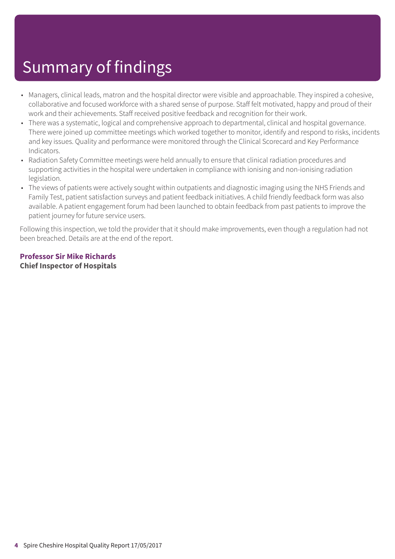- Managers, clinical leads, matron and the hospital director were visible and approachable. They inspired a cohesive, collaborative and focused workforce with a shared sense of purpose. Staff felt motivated, happy and proud of their work and their achievements. Staff received positive feedback and recognition for their work.
- There was a systematic, logical and comprehensive approach to departmental, clinical and hospital governance. There were joined up committee meetings which worked together to monitor, identify and respond to risks, incidents and key issues. Quality and performance were monitored through the Clinical Scorecard and Key Performance Indicators.
- Radiation Safety Committee meetings were held annually to ensure that clinical radiation procedures and supporting activities in the hospital were undertaken in compliance with ionising and non-ionising radiation legislation.
- The views of patients were actively sought within outpatients and diagnostic imaging using the NHS Friends and Family Test, patient satisfaction surveys and patient feedback initiatives. A child friendly feedback form was also available. A patient engagement forum had been launched to obtain feedback from past patients to improve the patient journey for future service users.

Following this inspection, we told the provider that it should make improvements, even though a regulation had not been breached. Details are at the end of the report.

#### **Professor Sir Mike Richards Chief Inspector of Hospitals**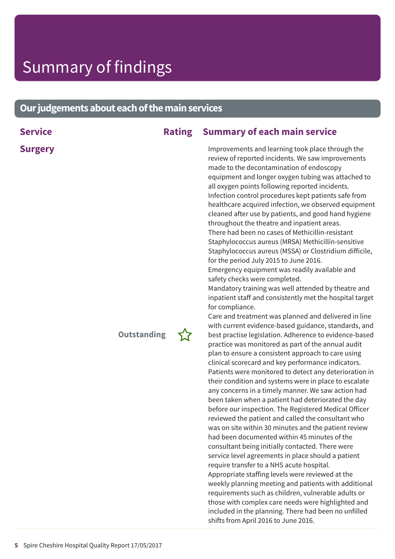### **Ourjudgementsabouteachofthemainservices**

| <b>Service</b> | <b>Rating</b>      | <b>Summary of each main service</b>                                                                                                                                                                                                                                                                                                                                                                                                                                                                                                                                                                                                                                                                                                                                                                                                                                                                                                                                                                                                                                                                                                                                                                                                                                                                                                                                                                                                                                                                                                                                                                                                                                                                                                                                                                                                                                                                                                                                                                                                                                                                                                                               |
|----------------|--------------------|-------------------------------------------------------------------------------------------------------------------------------------------------------------------------------------------------------------------------------------------------------------------------------------------------------------------------------------------------------------------------------------------------------------------------------------------------------------------------------------------------------------------------------------------------------------------------------------------------------------------------------------------------------------------------------------------------------------------------------------------------------------------------------------------------------------------------------------------------------------------------------------------------------------------------------------------------------------------------------------------------------------------------------------------------------------------------------------------------------------------------------------------------------------------------------------------------------------------------------------------------------------------------------------------------------------------------------------------------------------------------------------------------------------------------------------------------------------------------------------------------------------------------------------------------------------------------------------------------------------------------------------------------------------------------------------------------------------------------------------------------------------------------------------------------------------------------------------------------------------------------------------------------------------------------------------------------------------------------------------------------------------------------------------------------------------------------------------------------------------------------------------------------------------------|
| <b>Surgery</b> | <b>Outstanding</b> | Improvements and learning took place through the<br>review of reported incidents. We saw improvements<br>made to the decontamination of endoscopy<br>equipment and longer oxygen tubing was attached to<br>all oxygen points following reported incidents.<br>Infection control procedures kept patients safe from<br>healthcare acquired infection, we observed equipment<br>cleaned after use by patients, and good hand hygiene<br>throughout the theatre and inpatient areas.<br>There had been no cases of Methicillin-resistant<br>Staphylococcus aureus (MRSA) Methicillin-sensitive<br>Staphylococcus aureus (MSSA) or Clostridium difficile,<br>for the period July 2015 to June 2016.<br>Emergency equipment was readily available and<br>safety checks were completed.<br>Mandatory training was well attended by theatre and<br>inpatient staff and consistently met the hospital target<br>for compliance.<br>Care and treatment was planned and delivered in line<br>with current evidence-based guidance, standards, and<br>best practise legislation. Adherence to evidence-based<br>practice was monitored as part of the annual audit<br>plan to ensure a consistent approach to care using<br>clinical scorecard and key performance indicators.<br>Patients were monitored to detect any deterioration in<br>their condition and systems were in place to escalate<br>any concerns in a timely manner. We saw action had<br>been taken when a patient had deteriorated the day<br>before our inspection. The Registered Medical Officer<br>reviewed the patient and called the consultant who<br>was on site within 30 minutes and the patient review<br>had been documented within 45 minutes of the<br>consultant being initially contacted. There were<br>service level agreements in place should a patient<br>require transfer to a NHS acute hospital.<br>Appropriate staffing levels were reviewed at the<br>weekly planning meeting and patients with additional<br>requirements such as children, vulnerable adults or<br>those with complex care needs were highlighted and<br>included in the planning. There had been no unfilled |

shifts from April 2016 to June 2016.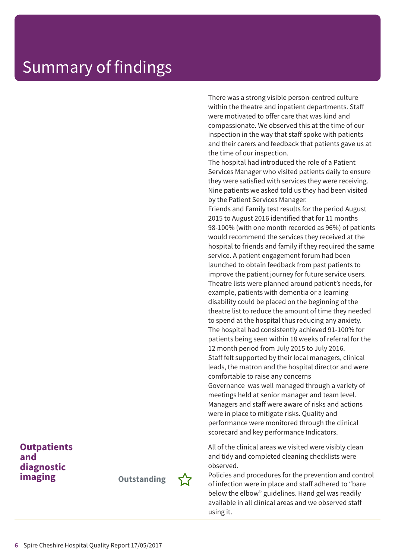There was a strong visible person-centred culture within the theatre and inpatient departments. Staff were motivated to offer care that was kind and compassionate. We observed this at the time of our inspection in the way that staff spoke with patients and their carers and feedback that patients gave us at the time of our inspection.

The hospital had introduced the role of a Patient Services Manager who visited patients daily to ensure they were satisfied with services they were receiving. Nine patients we asked told us they had been visited by the Patient Services Manager.

Friends and Family test results for the period August 2015 to August 2016 identified that for 11 months 98-100% (with one month recorded as 96%) of patients would recommend the services they received at the hospital to friends and family if they required the same service. A patient engagement forum had been launched to obtain feedback from past patients to improve the patient journey for future service users. Theatre lists were planned around patient's needs, for example, patients with dementia or a learning disability could be placed on the beginning of the theatre list to reduce the amount of time they needed to spend at the hospital thus reducing any anxiety. The hospital had consistently achieved 91-100% for patients being seen within 18 weeks of referral for the 12 month period from July 2015 to July 2016. Staff felt supported by their local managers, clinical leads, the matron and the hospital director and were comfortable to raise any concerns Governance was well managed through a variety of meetings held at senior manager and team level. Managers and staff were aware of risks and actions were in place to mitigate risks. Quality and performance were monitored through the clinical scorecard and key performance Indicators.

All of the clinical areas we visited were visibly clean and tidy and completed cleaning checklists were observed.

Policies and procedures for the prevention and control of infection were in place and staff adhered to "bare below the elbow" guidelines. Hand gel was readily available in all clinical areas and we observed staff using it.

### **Outpatients and diagnostic**

**imaging Outstanding –**

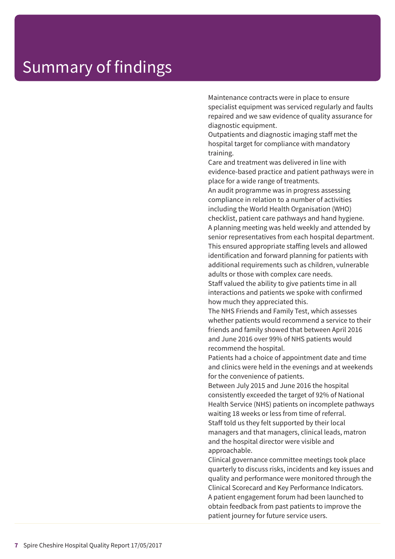Maintenance contracts were in place to ensure specialist equipment was serviced regularly and faults repaired and we saw evidence of quality assurance for diagnostic equipment.

Outpatients and diagnostic imaging staff met the hospital target for compliance with mandatory training.

Care and treatment was delivered in line with evidence-based practice and patient pathways were in place for a wide range of treatments.

An audit programme was in progress assessing compliance in relation to a number of activities including the World Health Organisation (WHO) checklist, patient care pathways and hand hygiene. A planning meeting was held weekly and attended by senior representatives from each hospital department. This ensured appropriate staffing levels and allowed identification and forward planning for patients with additional requirements such as children, vulnerable adults or those with complex care needs.

Staff valued the ability to give patients time in all interactions and patients we spoke with confirmed how much they appreciated this.

The NHS Friends and Family Test, which assesses whether patients would recommend a service to their friends and family showed that between April 2016 and June 2016 over 99% of NHS patients would recommend the hospital.

Patients had a choice of appointment date and time and clinics were held in the evenings and at weekends for the convenience of patients.

Between July 2015 and June 2016 the hospital consistently exceeded the target of 92% of National Health Service (NHS) patients on incomplete pathways waiting 18 weeks or less from time of referral. Staff told us they felt supported by their local managers and that managers, clinical leads, matron and the hospital director were visible and approachable.

Clinical governance committee meetings took place quarterly to discuss risks, incidents and key issues and quality and performance were monitored through the Clinical Scorecard and Key Performance Indicators. A patient engagement forum had been launched to obtain feedback from past patients to improve the patient journey for future service users.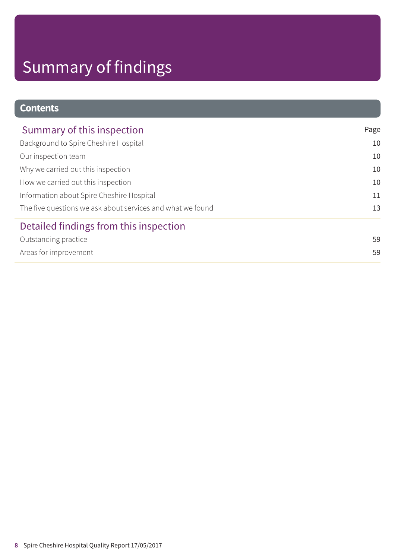### **Contents**

| Summary of this inspection                                 | Page |
|------------------------------------------------------------|------|
| Background to Spire Cheshire Hospital                      | 10   |
| Our inspection team                                        | 10   |
| Why we carried out this inspection                         | 10   |
| How we carried out this inspection                         | 10   |
| Information about Spire Cheshire Hospital                  | 11   |
| The five questions we ask about services and what we found | 13   |
| Detailed findings from this inspection                     |      |
| Outstanding practice                                       | 59   |
| Areas for improvement                                      | 59   |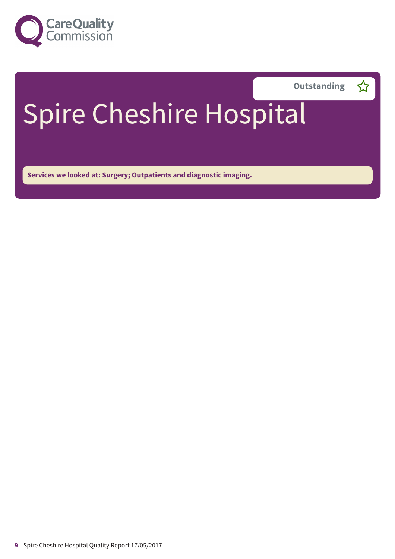



# Spire Cheshire Hospital

**Services we looked at: Surgery; Outpatients and diagnostic imaging.**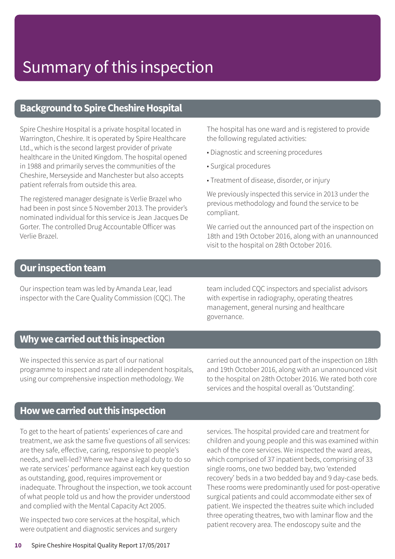### **Background to Spire Cheshire Hospital**

Spire Cheshire Hospital is a private hospital located in Warrington, Cheshire. It is operated by Spire Healthcare Ltd., which is the second largest provider of private healthcare in the United Kingdom. The hospital opened in 1988 and primarily serves the communities of the Cheshire, Merseyside and Manchester but also accepts patient referrals from outside this area.

The registered manager designate is Verlie Brazel who had been in post since 5 November 2013. The provider's nominated individual for this service is Jean Jacques De Gorter. The controlled Drug Accountable Officer was Verlie Brazel.

The hospital has one ward and is registered to provide the following regulated activities:

- Diagnostic and screening procedures
- Surgical procedures
- Treatment of disease, disorder, or injury

We previously inspected this service in 2013 under the previous methodology and found the service to be compliant.

We carried out the announced part of the inspection on 18th and 19th October 2016, along with an unannounced visit to the hospital on 28th October 2016.

### **Our inspection team**

Our inspection team was led by Amanda Lear, lead inspector with the Care Quality Commission (CQC). The team included CQC inspectors and specialist advisors with expertise in radiography, operating theatres management, general nursing and healthcare governance.

### **Whywecarriedoutthis inspection**

We inspected this service as part of our national programme to inspect and rate all independent hospitals, using our comprehensive inspection methodology. We

carried out the announced part of the inspection on 18th and 19th October 2016, along with an unannounced visit to the hospital on 28th October 2016. We rated both core services and the hospital overall as 'Outstanding'.

### **Howwecarriedoutthis inspection**

To get to the heart of patients' experiences of care and treatment, we ask the same five questions of all services: are they safe, effective, caring, responsive to people's needs, and well-led? Where we have a legal duty to do so we rate services' performance against each key question as outstanding, good, requires improvement or inadequate. Throughout the inspection, we took account of what people told us and how the provider understood and complied with the Mental Capacity Act 2005.

We inspected two core services at the hospital, which were outpatient and diagnostic services and surgery

services. The hospital provided care and treatment for children and young people and this was examined within each of the core services. We inspected the ward areas, which comprised of 37 inpatient beds, comprising of 33 single rooms, one two bedded bay, two 'extended recovery' beds in a two bedded bay and 9 day-case beds. These rooms were predominantly used for post-operative surgical patients and could accommodate either sex of patient. We inspected the theatres suite which included three operating theatres, two with laminar flow and the patient recovery area. The endoscopy suite and the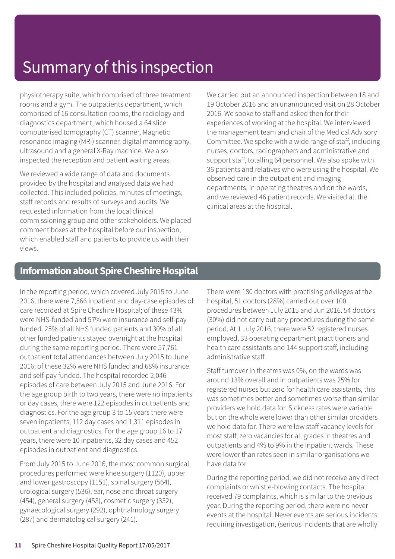physiotherapy suite, which comprised of three treatment rooms and a gym. The outpatients department, which comprised of 16 consultation rooms, the radiology and diagnostics department, which housed a 64 slice computerised tomography (CT) scanner, Magnetic resonance imaging (MRI) scanner, digital mammography, ultrasound and a general X-Ray machine. We also inspected the reception and patient waiting areas.

We reviewed a wide range of data and documents provided by the hospital and analysed data we had collected. This included policies, minutes of meetings, staff records and results of surveys and audits. We requested information from the local clinical commissioning group and other stakeholders. We placed comment boxes at the hospital before our inspection, which enabled staff and patients to provide us with their views.

We carried out an announced inspection between 18 and 19 October 2016 and an unannounced visit on 28 October 2016. We spoke to staff and asked then for their experiences of working at the hospital. We interviewed the management team and chair of the Medical Advisory Committee. We spoke with a wide range of staff, including nurses, doctors, radiographers and administrative and support staff, totalling 64 personnel. We also spoke with 36 patients and relatives who were using the hospital. We observed care in the outpatient and imaging departments, in operating theatres and on the wards, and we reviewed 46 patient records. We visited all the clinical areas at the hospital.

### **Information about Spire Cheshire Hospital**

In the reporting period, which covered July 2015 to June 2016, there were 7,566 inpatient and day-case episodes of care recorded at Spire Cheshire Hospital; of these 43% were NHS-funded and 57% were insurance and self-pay funded. 25% of all NHS funded patients and 30% of all other funded patients stayed overnight at the hospital during the same reporting period. There were 57,761 outpatient total attendances between July 2015 to June 2016; of these 32% were NHS funded and 68% insurance and self-pay funded. The hospital recorded 2,046 episodes of care between July 2015 and June 2016. For the age group birth to two years, there were no inpatients or day cases, there were 122 episodes in outpatients and diagnostics. For the age group 3 to 15 years there were seven inpatients, 112 day cases and 1,311 episodes in outpatient and diagnostics. For the age group 16 to 17 years, there were 10 inpatients, 32 day cases and 452 episodes in outpatient and diagnostics.

From July 2015 to June 2016, the most common surgical procedures performed were knee surgery (1120), upper and lower gastroscopy (1151), spinal surgery (564), urological surgery (536), ear, nose and throat surgery (454), general surgery (453), cosmetic surgery (332), gynaecological surgery (292), ophthalmology surgery (287) and dermatological surgery (241).

There were 180 doctors with practising privileges at the hospital, 51 doctors (28%) carried out over 100 procedures between July 2015 and Jun 2016. 54 doctors (30%) did not carry out any procedures during the same period. At 1 July 2016, there were 52 registered nurses employed, 33 operating department practitioners and health care assistants and 144 support staff, including administrative staff.

Staff turnover in theatres was 0%, on the wards was around 13% overall and in outpatients was 25% for registered nurses but zero for health care assistants, this was sometimes better and sometimes worse than similar providers we hold data for. Sickness rates were variable but on the whole were lower than other similar providers we hold data for. There were low staff vacancy levels for most staff, zero vacancies for all grades in theatres and outpatients and 4% to 9% in the inpatient wards. These were lower than rates seen in similar organisations we have data for.

During the reporting period, we did not receive any direct complaints or whistle-blowing contacts. The hospital received 79 complaints, which is similar to the previous year. During the reporting period, there were no never events at the hospital. Never events are serious incidents requiring investigation, (serious incidents that are wholly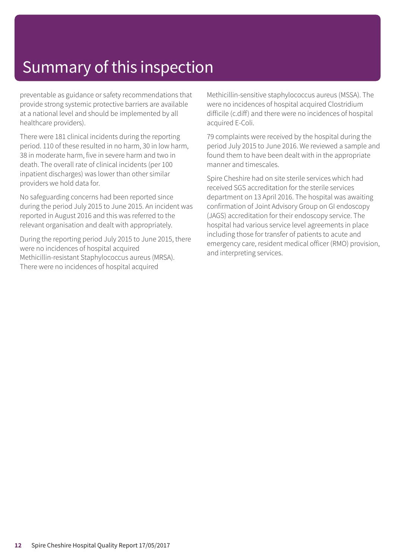preventable as guidance or safety recommendations that provide strong systemic protective barriers are available at a national level and should be implemented by all healthcare providers).

There were 181 clinical incidents during the reporting period. 110 of these resulted in no harm, 30 in low harm, 38 in moderate harm, five in severe harm and two in death. The overall rate of clinical incidents (per 100 inpatient discharges) was lower than other similar providers we hold data for.

No safeguarding concerns had been reported since during the period July 2015 to June 2015. An incident was reported in August 2016 and this was referred to the relevant organisation and dealt with appropriately.

During the reporting period July 2015 to June 2015, there were no incidences of hospital acquired Methicillin-resistant Staphylococcus aureus (MRSA). There were no incidences of hospital acquired

Methicillin-sensitive staphylococcus aureus (MSSA). The were no incidences of hospital acquired Clostridium difficile (c.diff) and there were no incidences of hospital acquired E-Coli.

79 complaints were received by the hospital during the period July 2015 to June 2016. We reviewed a sample and found them to have been dealt with in the appropriate manner and timescales.

Spire Cheshire had on site sterile services which had received SGS accreditation for the sterile services department on 13 April 2016. The hospital was awaiting confirmation of Joint Advisory Group on GI endoscopy (JAGS) accreditation for their endoscopy service. The hospital had various service level agreements in place including those for transfer of patients to acute and emergency care, resident medical officer (RMO) provision, and interpreting services.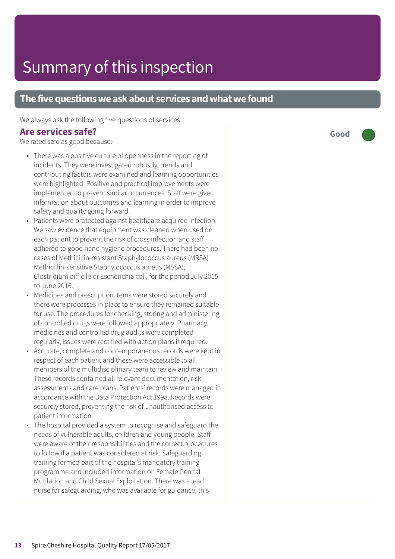### **The five questions we ask about services and what we found**

We always ask the following five questions of services.

#### **Are services safe?**

We rated safe as good because:

- There was a positive culture of openness in the reporting of incidents. They were investigated robustly, trends and contributing factors were examined and learning opportunities were highlighted. Positive and practical improvements were implemented to prevent similar occurrences. Staff were given information about outcomes and learning in order to improve safety and quality going forward.
- Patients were protected against healthcare acquired infection. We saw evidence that equipment was cleaned when used on each patient to prevent the risk of cross infection and staff adhered to good hand hygiene procedures. There had been no cases of Methicillin-resistant Staphylococcus aureus (MRSA) Methicillin-sensitive Staphylococcus aureus (MSSA), Clostridium difficile or Escherichia coli, for the period July 2015 to June 2016.
- Medicines and prescription items were stored securely and there were processes in place to ensure they remained suitable for use. The procedures for checking, storing and administering of controlled drugs were followed appropriately. Pharmacy, medicines and controlled drug audits were completed regularly, issues were rectified with action plans if required.
- Accurate, complete and contemporaneous records were kept in respect of each patient and these were accessible to all members of the multidisciplinary team to review and maintain. These records contained all relevant documentation, risk assessments and care plans. Patients' records were managed in accordance with the Data Protection Act 1998. Records were securely stored, preventing the risk of unauthorised access to patient information.
- The hospital provided a system to recognise and safeguard the needs of vulnerable adults, children and young people. Staff were aware of their responsibilities and the correct procedures to follow if a patient was considered at risk. Safeguarding training formed part of the hospital's mandatory training programme and included information on Female Genital Mutilation and Child Sexual Exploitation. There was a lead nurse for safeguarding, who was available for guidance, this

**Good –––**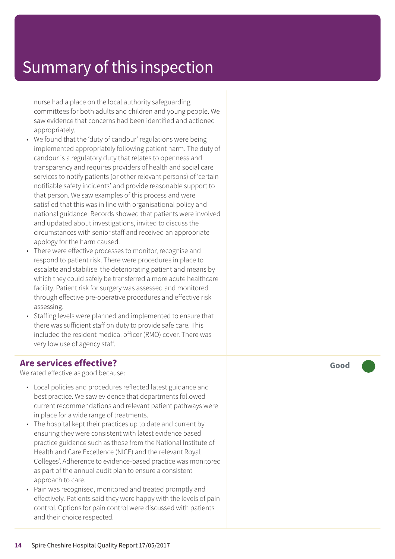nurse had a plac e on the local authority saf eguarding committees for both adults and children and young people. We saw evidenc e that concerns had been identified and actioned appropriately.

- We found that the 'duty of candour' regulations were being implemented appropriately following patient harm. The duty of candour is a regulatory duty that relates to openness and transparency and requires providers of health and social care services t o notify patients (or other rele vant persons) of ' certain notifiable saf ety incidents' and provide r easonable support t o that person. We saw examples of this process and wer e satisfied that this was in line with or ganisational polic y and national guidance. Records showed that patients wer e involved and updated about investigations, invited t o discuss the circumstances with senior staff and received an appropriat e apology for the harm caused.
- Ther e wer e effective processes t o monitor , recognise and respond to patient risk. There were procedures in place to escalat e and stabilise the de teriorating patient and means by which the y could safely be transferred a mor e acut e healthcar e facility. Patient risk for sur ger y was assessed and monitored through effective pr e-operative procedures and effective risk assessing.
- Staffing levels were planned and implemented to ensure that ther e was sufficient staff on duty t o provide saf e care. This included the resident medical officer (RMO) cover. Ther e was ver y low use of agenc y staff.

### **Ar e services effective ?**

We rated effective as good because:

- Local policies and procedures reflected latest guidanc e and best practice. We saw evidenc e that departments followed current recommendations and relevant patient pathways were in plac e for a wide rang e of tr eatments.
- The hospital kept their practices up to date and current by ensuring the y wer e consistent with latest evidenc e based practic e guidanc e such as those from the National Institut e of Health and Car e Ex cellenc e (NICE) and the rele vant Royal Colleges'. Adherence to evidence-based practice was monitored as part of the annual audit plan t o ensur e a consistent appr oach t o care.
- Pain was recognised, monitored and tr eated promptly and effectively. Patients said the y wer e happy with the levels of pain control. Options for pain control were discussed with patients and their choic e respected.

**Good –––**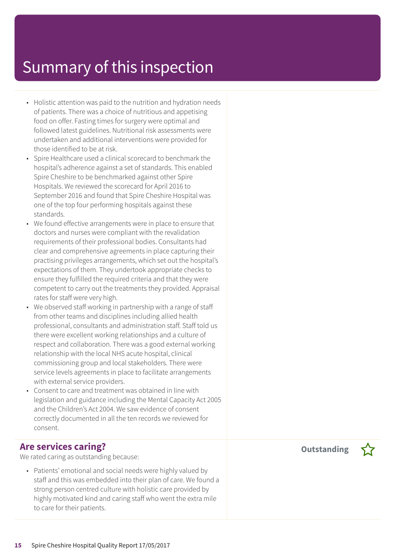- Holistic attention was paid to the nutrition and hydration needs of patients. There was a choice of nutritious and appetising food on offer. Fasting times for surgery were optimal and followed latest guidelines. Nutritional risk assessments were undertaken and additional interventions were provided for those identified to be at risk.
- Spire Healthcare used a clinical scorecard to benchmark the hospital's adherence against a set of standards. This enabled Spire Cheshire to be benchmarked against other Spire Hospitals. We reviewed the scorecard for April 2016 to September 2016 and found that Spire Cheshire Hospital was one of the top four performing hospitals against these standards.
- We found effective arrangements were in place to ensure that doctors and nurses were compliant with the revalidation requirements of their professional bodies. Consultants had clear and comprehensive agreements in place capturing their practising privileges arrangements, which set out the hospital's expectations of them. They undertook appropriate checks to ensure they fulfilled the required criteria and that they were competent to carry out the treatments they provided. Appraisal rates for staff were very high.
- We observed staff working in partnership with a range of staff from other teams and disciplines including allied health professional, consultants and administration staff. Staff told us there were excellent working relationships and a culture of respect and collaboration. There was a good external working relationship with the local NHS acute hospital, clinical commissioning group and local stakeholders. There were service levels agreements in place to facilitate arrangements with external service providers.
- Consent to care and treatment was obtained in line with legislation and guidance including the Mental Capacity Act 2005 and the Children's Act 2004. We saw evidence of consent correctly documented in all the ten records we reviewed for consent.

#### **Are services caring?**

We rated caring as outstanding because:

• Patients' emotional and social needs were highly valued by staff and this was embedded into their plan of care. We found a strong person centred culture with holistic care provided by highly motivated kind and caring staff who went the extra mile to care for their patients.

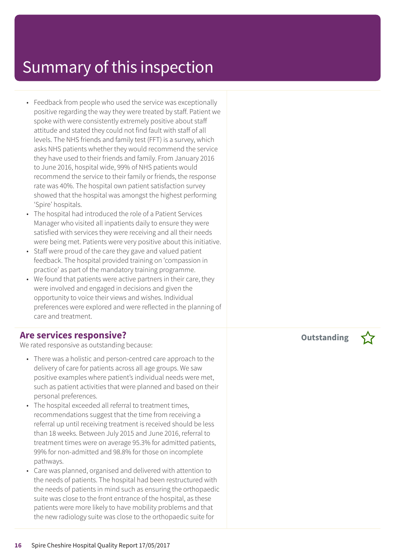- Feedback from people who used the service was exceptionally positive regarding the way they were treated by staff. Patient we spoke with were consistently extremely positive about staff attitude and stated they could not find fault with staff of all levels. The NHS friends and family test (FFT) is a survey, which asks NHS patients whether they would recommend the service they have used to their friends and family. From January 2016 to June 2016, hospital wide, 99% of NHS patients would recommend the service to their family or friends, the response rate was 40%. The hospital own patient satisfaction survey showed that the hospital was amongst the highest performing 'Spire' hospitals.
- The hospital had introduced the role of a Patient Services Manager who visited all inpatients daily to ensure they were satisfied with services they were receiving and all their needs were being met. Patients were very positive about this initiative.
- Staff were proud of the care they gave and valued patient feedback. The hospital provided training on 'compassion in practice' as part of the mandatory training programme.
- We found that patients were active partners in their care, they were involved and engaged in decisions and given the opportunity to voice their views and wishes. Individual preferences were explored and were reflected in the planning of care and treatment.

#### **Are services responsive?**

We rated responsive as outstanding because:

- There was a holistic and person-centred care approach to the delivery of care for patients across all age groups. We saw positive examples where patient's individual needs were met, such as patient activities that were planned and based on their personal preferences.
- The hospital exceeded all referral to treatment times, recommendations suggest that the time from receiving a referral up until receiving treatment is received should be less than 18 weeks. Between July 2015 and June 2016, referral to treatment times were on average 95.3% for admitted patients, 99% for non-admitted and 98.8% for those on incomplete pathways.
- Care was planned, organised and delivered with attention to the needs of patients. The hospital had been restructured with the needs of patients in mind such as ensuring the orthopaedic suite was close to the front entrance of the hospital, as these patients were more likely to have mobility problems and that the new radiology suite was close to the orthopaedic suite for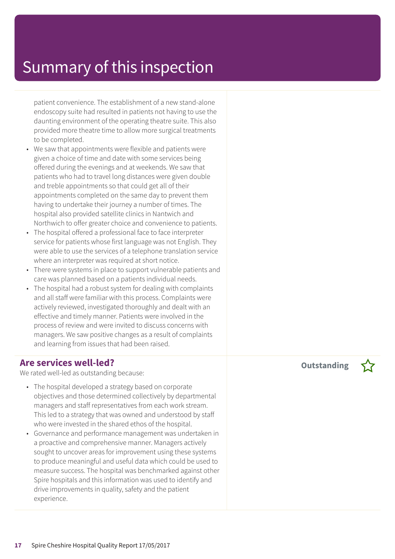patient convenience. The establishment of a new stand-alone endoscopy suite had resulted in patients not having to use the daunting environment of the operating theatre suite. This also provided more theatre time to allow more surgical treatments to be completed.

- We saw that appointments were flexible and patients were given a choice of time and date with some services being offered during the evenings and at weekends. We saw that patients who had to travel long distances were given double and treble appointments so that could get all of their appointments completed on the same day to prevent them having to undertake their journey a number of times. The hospital also provided satellite clinics in Nantwich and Northwich to offer greater choice and convenience to patients.
- The hospital offered a professional face to face interpreter service for patients whose first language was not English. They were able to use the services of a telephone translation service where an interpreter was required at short notice.
- There were systems in place to support vulnerable patients and care was planned based on a patients individual needs.
- The hospital had a robust system for dealing with complaints and all staff were familiar with this process. Complaints were actively reviewed, investigated thoroughly and dealt with an effective and timely manner. Patients were involved in the process of review and were invited to discuss concerns with managers. We saw positive changes as a result of complaints and learning from issues that had been raised.

#### **Are services well-led?**

We rated well-led as outstanding because:

- The hospital developed a strategy based on corporate objectives and those determined collectively by departmental managers and staff representatives from each work stream. This led to a strategy that was owned and understood by staff who were invested in the shared ethos of the hospital.
- Governance and performance management was undertaken in a proactive and comprehensive manner. Managers actively sought to uncover areas for improvement using these systems to produce meaningful and useful data which could be used to measure success. The hospital was benchmarked against other Spire hospitals and this information was used to identify and drive improvements in quality, safety and the patient experience.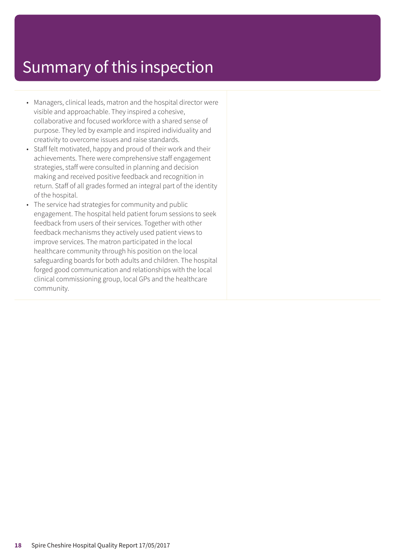- Managers, clinical leads, matron and the hospital director were visible and approachable. They inspired a cohesive, collaborative and focused workforce with a shared sense of purpose. They led by example and inspired individuality and creativity to overcome issues and raise standards.
- Staff felt motivated, happy and proud of their work and their achievements. There were comprehensive staff engagement strategies, staff were consulted in planning and decision making and received positive feedback and recognition in return. Staff of all grades formed an integral part of the identity of the hospital.
- The service had strategies for community and public engagement. The hospital held patient forum sessions to seek feedback from users of their services. Together with other feedback mechanisms they actively used patient views to improve services. The matron participated in the local healthcare community through his position on the local safeguarding boards for both adults and children. The hospital forged good communication and relationships with the local clinical commissioning group, local GPs and the healthcare community.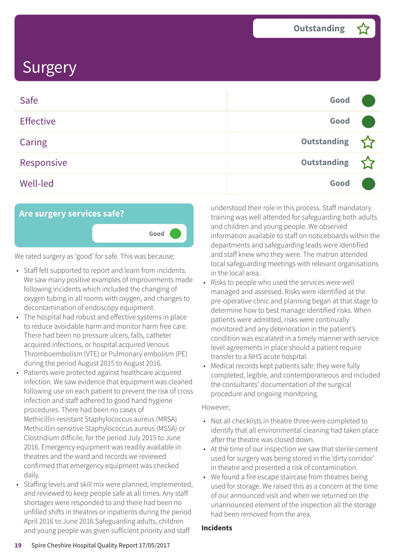| Safe             | Good               |  |
|------------------|--------------------|--|
| <b>Effective</b> | Good               |  |
| <b>Caring</b>    | Outstanding        |  |
| Responsive       | <b>Outstanding</b> |  |
| <b>Well-led</b>  | Good               |  |



We rated surgery as 'good' for safe. This was because;

- Staff felt supported to report and learn from incidents. We saw many positive examples of improvements made following incidents which included the changing of oxygen tubing in all rooms with oxygen, and changes to decontamination of endoscopy equipment.
- The hospital had robust and effective systems in place to reduce avoidable harm and monitor harm free care. There had been no pressure ulcers, falls, catheter acquired infections, or hospital acquired Venous Thromboembolism (VTE) or Pulmonary embolism (PE) during the period August 2015 to August 2016.
- Patients were protected against healthcare acquired infection. We saw evidence that equipment was cleaned following use on each patient to prevent the risk of cross infection and staff adhered to good hand hygiene procedures. There had been no cases of Methicillin-resistant Staphylococcus aureus (MRSA) Methicillin-sensitive Staphylococcus aureus (MSSA) or Clostridium difficile, for the period July 2015 to June 2016. Emergency equipment was readily available in theatres and the ward and records we reviewed confirmed that emergency equipment was checked daily.
- Staffing levels and skill mix were planned, implemented, and reviewed to keep people safe at all times. Any staff shortages were responded to and there had been no unfilled shifts in theatres or inpatients during the period April 2016 to June 2016.Safeguarding adults, children and young people was given sufficient priority and staff

understood their role in this process. Staff mandatory training was well attended for safeguarding both adults and children and young people. We observed information available to staff on noticeboards within the departments and safeguarding leads were identified and staff knew who they were. The matron attended local safeguarding meetings with relevant organisations in the local area.

- Risks to people who used the services were well managed and assessed. Risks were identified at the pre-operative clinic and planning began at that stage to determine how to best manage identified risks. When patients were admitted, risks were continually monitored and any deterioration in the patient's condition was escalated in a timely manner with service level agreements in place should a patient require transfer to a NHS acute hospital.
- Medical records kept patients safe: they were fully completed, legible, and contemporaneous and included the consultants' documentation of the surgical procedure and ongoing monitoring.

#### However;

- Not all checklists in theatre three were completed to identify that all environmental cleaning had taken place after the theatre was closed down.
- At the time of our inspection we saw that sterile cement used for surgery was being stored in the 'dirty corridor' in theatre and presented a risk of contamination.
- We found a fire escape staircase from theatres being used for storage. We raised this as a concern at the time of our announced visit and when we returned on the unannounced element of the inspection all the storage had been removed from the area.

#### **Incidents**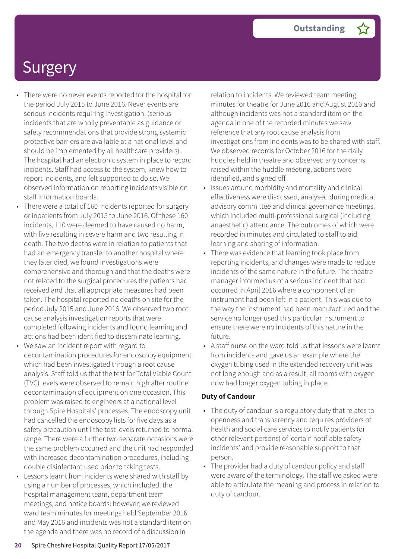- There were no never events reported for the hospital for the period July 2015 to June 2016. Never events are serious incidents requiring investigation, (serious incidents that are wholly preventable as guidance or safety recommendations that provide strong systemic protective barriers are available at a national level and should be implemented by all healthcare providers). The hospital had an electronic system in place to record incidents. Staff had access to the system, knew how to report incidents, and felt supported to do so. We observed information on reporting incidents visible on staff information boards.
- There were a total of 160 incidents reported for surgery or inpatients from July 2015 to June 2016. Of these 160 incidents, 110 were deemed to have caused no harm, with five resulting in severe harm and two resulting in death. The two deaths were in relation to patients that had an emergency transfer to another hospital where they later died, we found investigations were comprehensive and thorough and that the deaths were not related to the surgical procedures the patients had received and that all appropriate measures had been taken. The hospital reported no deaths on site for the period July 2015 and June 2016. We observed two root cause analysis investigation reports that were completed following incidents and found learning and actions had been identified to disseminate learning.
- We saw an incident report with regard to decontamination procedures for endoscopy equipment which had been investigated through a root cause analysis. Staff told us that the test for Total Viable Count (TVC) levels were observed to remain high after routine decontamination of equipment on one occasion. This problem was raised to engineers at a national level through Spire Hospitals' processes. The endoscopy unit had cancelled the endoscopy lists for five days as a safety precaution until the test levels returned to normal range. There were a further two separate occasions were the same problem occurred and the unit had responded with increased decontamination procedures, including double disinfectant used prior to taking tests.
- Lessons learnt from incidents were shared with staff by using a number of processes, which included: the hospital management team, department team meetings, and notice boards: however, we reviewed ward team minutes for meetings held September 2016 and May 2016 and incidents was not a standard item on the agenda and there was no record of a discussion in

relation to incidents. We reviewed team meeting minutes for theatre for June 2016 and August 2016 and although incidents was not a standard item on the agenda in one of the recorded minutes we saw reference that any root cause analysis from investigations from incidents was to be shared with staff. We observed records for October 2016 for the daily huddles held in theatre and observed any concerns raised within the huddle meeting, actions were identified, and signed off.

- Issues around morbidity and mortality and clinical effectiveness were discussed, analysed during medical advisory committee and clinical governance meetings, which included multi-professional surgical (including anaesthetic) attendance. The outcomes of which were recorded in minutes and circulated to staff to aid learning and sharing of information.
- There was evidence that learning took place from reporting incidents, and changes were made to reduce incidents of the same nature in the future. The theatre manager informed us of a serious incident that had occurred in April 2016 where a component of an instrument had been left in a patient. This was due to the way the instrument had been manufactured and the service no longer used this particular instrument to ensure there were no incidents of this nature in the future.
- A staff nurse on the ward told us that lessons were learnt from incidents and gave us an example where the oxygen tubing used in the extended recovery unit was not long enough and as a result, all rooms with oxygen now had longer oxygen tubing in place.

#### **Duty of Candour**

- The duty of candour is a regulatory duty that relates to openness and transparency and requires providers of health and social care services to notify patients (or other relevant persons) of 'certain notifiable safety incidents' and provide reasonable support to that person.
- The provider had a duty of candour policy and staff were aware of the terminology. The staff we asked were able to articulate the meaning and process in relation to duty of candour.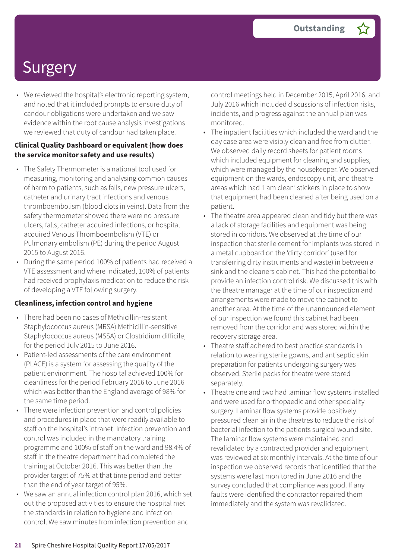• We reviewed the hospital's electronic reporting system, and noted that it included prompts to ensure duty of candour obligations were undertaken and we saw evidence within the root cause analysis investigations we reviewed that duty of candour had taken place.

#### **Clinical Quality Dashboard or equivalent (how does the service monitor safety and use results)**

- The Safety Thermometer is a national tool used for measuring, monitoring and analysing common causes of harm to patients, such as falls, new pressure ulcers, catheter and urinary tract infections and venous thromboembolism (blood clots in veins). Data from the safety thermometer showed there were no pressure ulcers, falls, catheter acquired infections, or hospital acquired Venous Thromboembolism (VTE) or Pulmonary embolism (PE) during the period August 2015 to August 2016.
- During the same period 100% of patients had received a VTE assessment and where indicated, 100% of patients had received prophylaxis medication to reduce the risk of developing a VTE following surgery.

#### **Cleanliness, infection control and hygiene**

- There had been no cases of Methicillin-resistant Staphylococcus aureus (MRSA) Methicillin-sensitive Staphylococcus aureus (MSSA) or Clostridium difficile, for the period July 2015 to June 2016.
- Patient-led assessments of the care environment (PLACE) is a system for assessing the quality of the patient environment. The hospital achieved 100% for cleanliness for the period February 2016 to June 2016 which was better than the England average of 98% for the same time period.
- There were infection prevention and control policies and procedures in place that were readily available to staff on the hospital's intranet. Infection prevention and control was included in the mandatory training programme and 100% of staff on the ward and 98.4% of staff in the theatre department had completed the training at October 2016. This was better than the provider target of 75% at that time period and better than the end of year target of 95%.
- We saw an annual infection control plan 2016, which set out the proposed activities to ensure the hospital met the standards in relation to hygiene and infection control. We saw minutes from infection prevention and

control meetings held in December 2015, April 2016, and July 2016 which included discussions of infection risks, incidents, and progress against the annual plan was monitored.

- The inpatient facilities which included the ward and the day case area were visibly clean and free from clutter. We observed daily record sheets for patient rooms which included equipment for cleaning and supplies, which were managed by the housekeeper. We observed equipment on the wards, endoscopy unit, and theatre areas which had 'I am clean' stickers in place to show that equipment had been cleaned after being used on a patient.
- The theatre area appeared clean and tidy but there was a lack of storage facilities and equipment was being stored in corridors. We observed at the time of our inspection that sterile cement for implants was stored in a metal cupboard on the 'dirty corridor' (used for transferring dirty instruments and waste) in between a sink and the cleaners cabinet. This had the potential to provide an infection control risk. We discussed this with the theatre manager at the time of our inspection and arrangements were made to move the cabinet to another area. At the time of the unannounced element of our inspection we found this cabinet had been removed from the corridor and was stored within the recovery storage area.
- Theatre staff adhered to best practice standards in relation to wearing sterile gowns, and antiseptic skin preparation for patients undergoing surgery was observed. Sterile packs for theatre were stored separately.
- Theatre one and two had laminar flow systems installed and were used for orthopaedic and other speciality surgery. Laminar flow systems provide positively pressured clean air in the theatres to reduce the risk of bacterial infection to the patients surgical wound site. The laminar flow systems were maintained and revalidated by a contracted provider and equipment was reviewed at six monthly intervals. At the time of our inspection we observed records that identified that the systems were last monitored in June 2016 and the survey concluded that compliance was good. If any faults were identified the contractor repaired them immediately and the system was revalidated.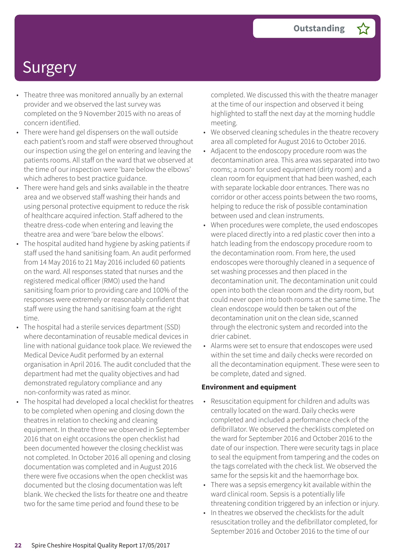- Theatre three was monitored annually by an external provider and we observed the last survey was completed on the 9 November 2015 with no areas of concern identified.
- There were hand gel dispensers on the wall outside each patient's room and staff were observed throughout our inspection using the gel on entering and leaving the patients rooms. All staff on the ward that we observed at the time of our inspection were 'bare below the elbows' which adheres to best practice guidance.
- There were hand gels and sinks available in the theatre area and we observed staff washing their hands and using personal protective equipment to reduce the risk of healthcare acquired infection. Staff adhered to the theatre dress-code when entering and leaving the theatre area and were 'bare below the elbows'.
- The hospital audited hand hygiene by asking patients if staff used the hand sanitising foam. An audit performed from 14 May 2016 to 21 May 2016 included 60 patients on the ward. All responses stated that nurses and the registered medical officer (RMO) used the hand sanitising foam prior to providing care and 100% of the responses were extremely or reasonably confident that staff were using the hand sanitising foam at the right time.
- The hospital had a sterile services department (SSD) where decontamination of reusable medical devices in line with national guidance took place. We reviewed the Medical Device Audit performed by an external organisation in April 2016. The audit concluded that the department had met the quality objectives and had demonstrated regulatory compliance and any non-conformity was rated as minor.
	- The hospital had developed a local checklist for theatres to be completed when opening and closing down the theatres in relation to checking and cleaning equipment. In theatre three we observed in September 2016 that on eight occasions the open checklist had been documented however the closing checklist was not completed. In October 2016 all opening and closing documentation was completed and in August 2016 there were five occasions when the open checklist was documented but the closing documentation was left blank. We checked the lists for theatre one and theatre two for the same time period and found these to be

completed. We discussed this with the theatre manager at the time of our inspection and observed it being highlighted to staff the next day at the morning huddle meeting.

- We observed cleaning schedules in the theatre recovery area all completed for August 2016 to October 2016.
- Adjacent to the endoscopy procedure room was the decontamination area. This area was separated into two rooms; a room for used equipment (dirty room) and a clean room for equipment that had been washed, each with separate lockable door entrances. There was no corridor or other access points between the two rooms, helping to reduce the risk of possible contamination between used and clean instruments.
- When procedures were complete, the used endoscopes were placed directly into a red plastic cover then into a hatch leading from the endoscopy procedure room to the decontamination room. From here, the used endoscopes were thoroughly cleaned in a sequence of set washing processes and then placed in the decontamination unit. The decontamination unit could open into both the clean room and the dirty room, but could never open into both rooms at the same time. The clean endoscope would then be taken out of the decontamination unit on the clean side, scanned through the electronic system and recorded into the drier cabinet.
- Alarms were set to ensure that endoscopes were used within the set time and daily checks were recorded on all the decontamination equipment. These were seen to be complete, dated and signed.

#### **Environment and equipment**

- Resuscitation equipment for children and adults was centrally located on the ward. Daily checks were completed and included a performance check of the defibrillator. We observed the checklists completed on the ward for September 2016 and October 2016 to the date of our inspection. There were security tags in place to seal the equipment from tampering and the codes on the tags correlated with the check list. We observed the same for the sepsis kit and the haemorrhage box.
- There was a sepsis emergency kit available within the ward clinical room. Sepsis is a potentially life threatening condition triggered by an infection or injury.
- In theatres we observed the checklists for the adult resuscitation trolley and the defibrillator completed, for September 2016 and October 2016 to the time of our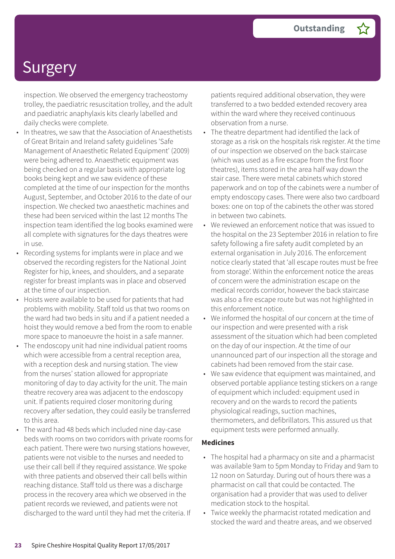inspection. We observed the emergency tracheostomy trolley, the paediatric resuscitation trolley, and the adult and paediatric anaphylaxis kits clearly labelled and daily checks were complete.

- In theatres, we saw that the Association of Anaesthetists of Great Britain and Ireland safety guidelines 'Safe Management of Anaesthetic Related Equipment' (2009) were being adhered to. Anaesthetic equipment was being checked on a regular basis with appropriate log books being kept and we saw evidence of these completed at the time of our inspection for the months August, September, and October 2016 to the date of our inspection. We checked two anaesthetic machines and these had been serviced within the last 12 months The inspection team identified the log books examined were all complete with signatures for the days theatres were in use.
- Recording systems for implants were in place and we observed the recording registers for the National Joint Register for hip, knees, and shoulders, and a separate register for breast implants was in place and observed at the time of our inspection.
- Hoists were available to be used for patients that had problems with mobility. Staff told us that two rooms on the ward had two beds in situ and if a patient needed a hoist they would remove a bed from the room to enable more space to manoeuvre the hoist in a safe manner.
- The endoscopy unit had nine individual patient rooms which were accessible from a central reception area, with a reception desk and nursing station. The view from the nurses' station allowed for appropriate monitoring of day to day activity for the unit. The main theatre recovery area was adjacent to the endoscopy unit. If patients required closer monitoring during recovery after sedation, they could easily be transferred to this area.
- The ward had 48 beds which included nine day-case beds with rooms on two corridors with private rooms for each patient. There were two nursing stations however, patients were not visible to the nurses and needed to use their call bell if they required assistance. We spoke with three patients and observed their call bells within reaching distance. Staff told us there was a discharge process in the recovery area which we observed in the patient records we reviewed, and patients were not discharged to the ward until they had met the criteria. If

patients required additional observation, they were transferred to a two bedded extended recovery area within the ward where they received continuous observation from a nurse.

- The theatre department had identified the lack of storage as a risk on the hospitals risk register. At the time of our inspection we observed on the back staircase (which was used as a fire escape from the first floor theatres), items stored in the area half way down the stair case. There were metal cabinets which stored paperwork and on top of the cabinets were a number of empty endoscopy cases. There were also two cardboard boxes: one on top of the cabinets the other was stored in between two cabinets.
- We reviewed an enforcement notice that was issued to the hospital on the 23 September 2016 in relation to fire safety following a fire safety audit completed by an external organisation in July 2016. The enforcement notice clearly stated that 'all escape routes must be free from storage'. Within the enforcement notice the areas of concern were the administration escape on the medical records corridor, however the back staircase was also a fire escape route but was not highlighted in this enforcement notice.
- We informed the hospital of our concern at the time of our inspection and were presented with a risk assessment of the situation which had been completed on the day of our inspection. At the time of our unannounced part of our inspection all the storage and cabinets had been removed from the stair case.
- We saw evidence that equipment was maintained, and observed portable appliance testing stickers on a range of equipment which included: equipment used in recovery and on the wards to record the patients physiological readings, suction machines, thermometers, and defibrillators. This assured us that equipment tests were performed annually.

#### **Medicines**

- The hospital had a pharmacy on site and a pharmacist was available 9am to 5pm Monday to Friday and 9am to 12 noon on Saturday. During out of hours there was a pharmacist on call that could be contacted. The organisation had a provider that was used to deliver medication stock to the hospital.
- Twice weekly the pharmacist rotated medication and stocked the ward and theatre areas, and we observed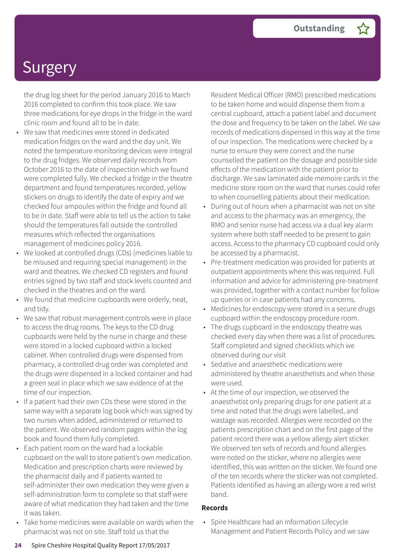the drug log sheet for the period January 2016 to March 2016 completed to confirm this took place. We saw three medications for eye drops in the fridge in the ward clinic room and found all to be in date.

- We saw that medicines were stored in dedicated medication fridges on the ward and the day unit. We noted the temperature monitoring devices were integral to the drug fridges. We observed daily records from October 2016 to the date of inspection which we found were completed fully. We checked a fridge in the theatre department and found temperatures recorded, yellow stickers on drugs to identify the date of expiry and we checked four ampoules within the fridge and found all to be in date. Staff were able to tell us the action to take should the temperatures fall outside the controlled measures which reflected the organisations management of medicines policy 2016.
- We looked at controlled drugs (CDs) (medicines liable to be misused and requiring special management) in the ward and theatres. We checked CD registers and found entries signed by two staff and stock levels counted and checked in the theatres and on the ward.
- We found that medicine cupboards were orderly, neat, and tidy.
- We saw that robust management controls were in place to access the drug rooms. The keys to the CD drug cupboards were held by the nurse in charge and these were stored in a locked cupboard within a locked cabinet. When controlled drugs were dispensed from pharmacy, a controlled drug order was completed and the drugs were dispensed in a locked container and had a green seal in place which we saw evidence of at the time of our inspection.
- If a patient had their own CDs these were stored in the same way with a separate log book which was signed by two nurses when added, administered or returned to the patient. We observed random pages within the log book and found them fully completed.
- Each patient room on the ward had a lockable cupboard on the wall to store patient's own medication. Medication and prescription charts were reviewed by the pharmacist daily and if patients wanted to self-administer their own medication they were given a self-administration form to complete so that staff were aware of what medication they had taken and the time it was taken.
- Take home medicines were available on wards when the pharmacist was not on site. Staff told us that the

Resident Medical Officer (RMO) prescribed medications to be taken home and would dispense them from a central cupboard, attach a patient label and document the dose and frequency to be taken on the label. We saw records of medications dispensed in this way at the time of our inspection. The medications were checked by a nurse to ensure they were correct and the nurse counselled the patient on the dosage and possible side effects of the medication with the patient prior to discharge. We saw laminated aide memoire cards in the medicine store room on the ward that nurses could refer to when counselling patients about their medication.

- During out of hours when a pharmacist was not on site and access to the pharmacy was an emergency, the RMO and senior nurse had access via a dual key alarm system where both staff needed to be present to gain access. Access to the pharmacy CD cupboard could only be accessed by a pharmacist.
- Pre-treatment medication was provided for patients at outpatient appointments where this was required. Full information and advice for administering pre-treatment was provided, together with a contact number for follow up queries or in case patients had any concerns.
- Medicines for endoscopy were stored in a secure drugs cupboard within the endoscopy procedure room.
- The drugs cupboard in the endoscopy theatre was checked every day when there was a list of procedures. Staff completed and signed checklists which we observed during our visit
- Sedative and anaesthetic medications were administered by theatre anaesthetists and when these were used.
- At the time of our inspection, we observed the anaesthetist only preparing drugs for one patient at a time and noted that the drugs were labelled, and wastage was recorded. Allergies were recorded on the patients prescription chart and on the first page of the patient record there was a yellow allergy alert sticker. We observed ten sets of records and found allergies were noted on the sticker, where no allergies were identified, this was written on the sticker. We found one of the ten records where the sticker was not completed. Patients identified as having an allergy wore a red wrist band.

#### **Records**

• Spire Healthcare had an Information Lifecycle Management and Patient Records Policy and we saw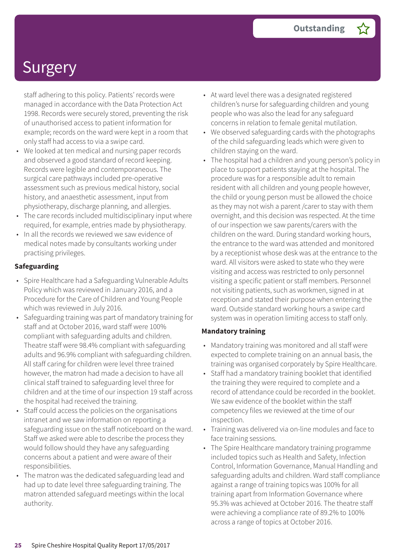staff adhering to this policy. Patients' records were managed in accordance with the Data Protection Act 1998. Records were securely stored, preventing the risk of unauthorised access to patient information for example; records on the ward were kept in a room that only staff had access to via a swipe card.

- We looked at ten medical and nursing paper records and observed a good standard of record keeping. Records were legible and contemporaneous. The surgical care pathways included pre-operative assessment such as previous medical history, social history, and anaesthetic assessment, input from physiotherapy, discharge planning, and allergies.
- The care records included multidisciplinary input where required, for example, entries made by physiotherapy.
- In all the records we reviewed we saw evidence of medical notes made by consultants working under practising privileges.

#### **Safeguarding**

- Spire Healthcare had a Safeguarding Vulnerable Adults Policy which was reviewed in January 2016, and a Procedure for the Care of Children and Young People which was reviewed in July 2016.
- Safeguarding training was part of mandatory training for staff and at October 2016, ward staff were 100% compliant with safeguarding adults and children. Theatre staff were 98.4% compliant with safeguarding adults and 96.9% compliant with safeguarding children. All staff caring for children were level three trained however, the matron had made a decision to have all clinical staff trained to safeguarding level three for children and at the time of our inspection 19 staff across the hospital had received the training.
- Staff could access the policies on the organisations intranet and we saw information on reporting a safeguarding issue on the staff noticeboard on the ward. Staff we asked were able to describe the process they would follow should they have any safeguarding concerns about a patient and were aware of their responsibilities.
- The matron was the dedicated safeguarding lead and had up to date level three safeguarding training. The matron attended safeguard meetings within the local authority.
- At ward level there was a designated registered children's nurse for safeguarding children and young people who was also the lead for any safeguard concerns in relation to female genital mutilation.
- We observed safeguarding cards with the photographs of the child safeguarding leads which were given to children staying on the ward.
- The hospital had a children and young person's policy in place to support patients staying at the hospital. The procedure was for a responsible adult to remain resident with all children and young people however, the child or young person must be allowed the choice as they may not wish a parent /carer to stay with them overnight, and this decision was respected. At the time of our inspection we saw parents/carers with the children on the ward. During standard working hours, the entrance to the ward was attended and monitored by a receptionist whose desk was at the entrance to the ward. All visitors were asked to state who they were visiting and access was restricted to only personnel visiting a specific patient or staff members. Personnel not visiting patients, such as workmen, signed in at reception and stated their purpose when entering the ward. Outside standard working hours a swipe card system was in operation limiting access to staff only.

#### **Mandatory training**

- Mandatory training was monitored and all staff were expected to complete training on an annual basis, the training was organised corporately by Spire Healthcare.
- Staff had a mandatory training booklet that identified the training they were required to complete and a record of attendance could be recorded in the booklet. We saw evidence of the booklet within the staff competency files we reviewed at the time of our inspection.
- Training was delivered via on-line modules and face to face training sessions.
- The Spire Healthcare mandatory training programme included topics such as Health and Safety, Infection Control, Information Governance, Manual Handling and safeguarding adults and children. Ward staff compliance against a range of training topics was 100% for all training apart from Information Governance where 95.3% was achieved at October 2016. The theatre staff were achieving a compliance rate of 89.2% to 100% across a range of topics at October 2016.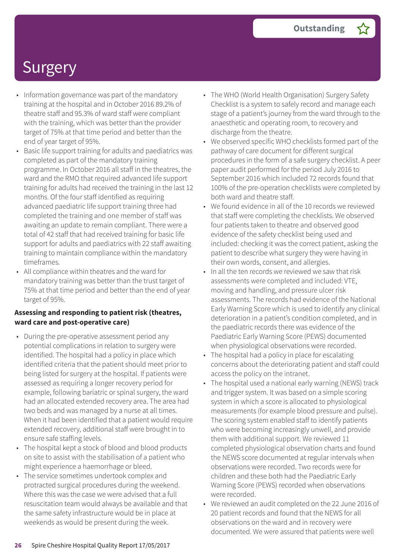- Information governance was part of the mandatory training at the hospital and in October 2016 89.2% of theatre staff and 95.3% of ward staff were compliant with the training, which was better than the provider target of 75% at that time period and better than the end of year target of 95%.
- Basic life support training for adults and paediatrics was completed as part of the mandatory training programme. In October 2016 all staff in the theatres, the ward and the RMO that required advanced life support training for adults had received the training in the last 12 months. Of the four staff identified as requiring advanced paediatric life support training three had completed the training and one member of staff was awaiting an update to remain compliant. There were a total of 42 staff that had received training for basic life support for adults and paediatrics with 22 staff awaiting training to maintain compliance within the mandatory timeframes.
- All compliance within theatres and the ward for mandatory training was better than the trust target of 75% at that time period and better than the end of year target of 95%.

#### **Assessing and responding to patient risk (theatres, ward care and post-operative care)**

- During the pre-operative assessment period any potential complications in relation to surgery were identified. The hospital had a policy in place which identified criteria that the patient should meet prior to being listed for surgery at the hospital. If patients were assessed as requiring a longer recovery period for example, following bariatric or spinal surgery, the ward had an allocated extended recovery area. The area had two beds and was managed by a nurse at all times. When it had been identified that a patient would require extended recovery, additional staff were brought in to ensure safe staffing levels.
- The hospital kept a stock of blood and blood products on site to assist with the stabilisation of a patient who might experience a haemorrhage or bleed.
- The service sometimes undertook complex and protracted surgical procedures during the weekend. Where this was the case we were advised that a full resuscitation team would always be available and that the same safety infrastructure would be in place at weekends as would be present during the week.
- The WHO (World Health Organisation) Surgery Safety Checklist is a system to safely record and manage each stage of a patient's journey from the ward through to the anaesthetic and operating room, to recovery and discharge from the theatre.
- We observed specific WHO checklists formed part of the pathway of care document for different surgical procedures in the form of a safe surgery checklist. A peer paper audit performed for the period July 2016 to September 2016 which included 72 records found that 100% of the pre-operation checklists were completed by both ward and theatre staff.
- We found evidence in all of the 10 records we reviewed that staff were completing the checklists. We observed four patients taken to theatre and observed good evidence of the safety checklist being used and included: checking it was the correct patient, asking the patient to describe what surgery they were having in their own words, consent, and allergies.
- In all the ten records we reviewed we saw that risk assessments were completed and included: VTE, moving and handling, and pressure ulcer risk assessments. The records had evidence of the National Early Warning Score which is used to identify any clinical deterioration in a patient's condition completed, and in the paediatric records there was evidence of the Paediatric Early Warning Score (PEWS) documented when physiological observations were recorded.
- The hospital had a policy in place for escalating concerns about the deteriorating patient and staff could access the policy on the intranet.
- The hospital used a national early warning (NEWS) track and trigger system. It was based on a simple scoring system in which a score is allocated to physiological measurements (for example blood pressure and pulse). The scoring system enabled staff to identify patients who were becoming increasingly unwell, and provide them with additional support. We reviewed 11 completed physiological observation charts and found the NEWS score documented at regular intervals when observations were recorded. Two records were for children and these both had the Paediatric Early Warning Score (PEWS) recorded when observations were recorded.
- We reviewed an audit completed on the 22 June 2016 of 20 patient records and found that the NEWS for all observations on the ward and in recovery were documented. We were assured that patients were well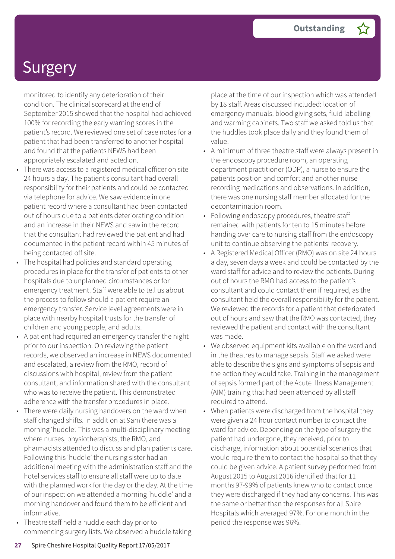monitored to identify any deterioration of their condition. The clinical scorecard at the end of September 2015 showed that the hospital had achieved 100% for recording the early warning scores in the patient's record. We reviewed one set of case notes for a patient that had been transferred to another hospital and found that the patients NEWS had been appropriately escalated and acted on.

- There was access to a registered medical officer on site 24 hours a day. The patient's consultant had overall responsibility for their patients and could be contacted via telephone for advice. We saw evidence in one patient record where a consultant had been contacted out of hours due to a patients deteriorating condition and an increase in their NEWS and saw in the record that the consultant had reviewed the patient and had documented in the patient record within 45 minutes of being contacted off site.
- The hospital had policies and standard operating procedures in place for the transfer of patients to other hospitals due to unplanned circumstances or for emergency treatment. Staff were able to tell us about the process to follow should a patient require an emergency transfer. Service level agreements were in place with nearby hospital trusts for the transfer of children and young people, and adults.
- A patient had required an emergency transfer the night prior to our inspection. On reviewing the patient records, we observed an increase in NEWS documented and escalated, a review from the RMO, record of discussions with hospital, review from the patient consultant, and information shared with the consultant who was to receive the patient. This demonstrated adherence with the transfer procedures in place.
- There were daily nursing handovers on the ward when staff changed shifts. In addition at 9am there was a morning 'huddle'. This was a multi-disciplinary meeting where nurses, physiotherapists, the RMO, and pharmacists attended to discuss and plan patients care. Following this 'huddle' the nursing sister had an additional meeting with the administration staff and the hotel services staff to ensure all staff were up to date with the planned work for the day or the day. At the time of our inspection we attended a morning 'huddle' and a morning handover and found them to be efficient and informative.
- Theatre staff held a huddle each day prior to commencing surgery lists. We observed a huddle taking

place at the time of our inspection which was attended by 18 staff. Areas discussed included: location of emergency manuals, blood giving sets, fluid labelling and warming cabinets. Two staff we asked told us that the huddles took place daily and they found them of value.

- A minimum of three theatre staff were always present in the endoscopy procedure room, an operating department practitioner (ODP), a nurse to ensure the patients position and comfort and another nurse recording medications and observations. In addition, there was one nursing staff member allocated for the decontamination room.
- Following endoscopy procedures, theatre staff remained with patients for ten to 15 minutes before handing over care to nursing staff from the endoscopy unit to continue observing the patients' recovery.
- A Registered Medical Officer (RMO) was on site 24 hours a day, seven days a week and could be contacted by the ward staff for advice and to review the patients. During out of hours the RMO had access to the patient's consultant and could contact them if required, as the consultant held the overall responsibility for the patient. We reviewed the records for a patient that deteriorated out of hours and saw that the RMO was contacted, they reviewed the patient and contact with the consultant was made.
- We observed equipment kits available on the ward and in the theatres to manage sepsis. Staff we asked were able to describe the signs and symptoms of sepsis and the action they would take. Training in the management of sepsis formed part of the Acute Illness Management (AIM) training that had been attended by all staff required to attend.
- When patients were discharged from the hospital they were given a 24 hour contact number to contact the ward for advice. Depending on the type of surgery the patient had undergone, they received, prior to discharge, information about potential scenarios that would require them to contact the hospital so that they could be given advice. A patient survey performed from August 2015 to August 2016 identified that for 11 months 97-99% of patients knew who to contact once they were discharged if they had any concerns. This was the same or better than the responses for all Spire Hospitals which averaged 97%. For one month in the period the response was 96%.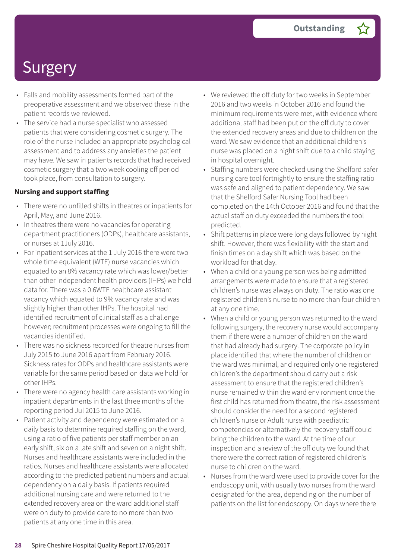- Falls and mobility assessments formed part of the preoperative assessment and we observed these in the patient records we reviewed.
- The service had a nurse specialist who assessed patients that were considering cosmetic surgery. The role of the nurse included an appropriate psychological assessment and to address any anxieties the patient may have. We saw in patients records that had received cosmetic surgery that a two week cooling off period took place, from consultation to surgery.

#### **Nursing and support staffing**

- There were no unfilled shifts in theatres or inpatients for April, May, and June 2016.
- In theatres there were no vacancies for operating department practitioners (ODPs), healthcare assistants, or nurses at 1July 2016.
- For inpatient services at the 1 July 2016 there were two whole time equivalent (WTE) nurse vacancies which equated to an 8% vacancy rate which was lower/better than other independent health providers (IHPs) we hold data for. There was a 0.6WTE healthcare assistant vacancy which equated to 9% vacancy rate and was slightly higher than other IHPs. The hospital had identified recruitment of clinical staff as a challenge however; recruitment processes were ongoing to fill the vacancies identified.
- There was no sickness recorded for theatre nurses from July 2015 to June 2016 apart from February 2016. Sickness rates for ODPs and healthcare assistants were variable for the same period based on data we hold for other IHPs.
- There were no agency health care assistants working in inpatient departments in the last three months of the reporting period Jul 2015 to June 2016.
- Patient activity and dependency were estimated on a daily basis to determine required staffing on the ward, using a ratio of five patients per staff member on an early shift, six on a late shift and seven on a night shift. Nurses and healthcare assistants were included in the ratios. Nurses and healthcare assistants were allocated according to the predicted patient numbers and actual dependency on a daily basis. If patients required additional nursing care and were returned to the extended recovery area on the ward additional staff were on duty to provide care to no more than two patients at any one time in this area.
- We reviewed the off duty for two weeks in September 2016 and two weeks in October 2016 and found the minimum requirements were met, with evidence where additional staff had been put on the off duty to cover the extended recovery areas and due to children on the ward. We saw evidence that an additional children's nurse was placed on a night shift due to a child staying in hospital overnight.
- Staffing numbers were checked using the Shelford safer nursing care tool fortnightly to ensure the staffing ratio was safe and aligned to patient dependency. We saw that the Shelford Safer Nursing Tool had been completed on the 14th October 2016 and found that the actual staff on duty exceeded the numbers the tool predicted.
- Shift patterns in place were long days followed by night shift. However, there was flexibility with the start and finish times on a day shift which was based on the workload for that day.
- When a child or a young person was being admitted arrangements were made to ensure that a registered children's nurse was always on duty. The ratio was one registered children's nurse to no more than four children at any one time.
- When a child or young person was returned to the ward following surgery, the recovery nurse would accompany them if there were a number of children on the ward that had already had surgery. The corporate policy in place identified that where the number of children on the ward was minimal, and required only one registered children's the department should carry out a risk assessment to ensure that the registered children's nurse remained within the ward environment once the first child has returned from theatre, the risk assessment should consider the need for a second registered children's nurse or Adult nurse with paediatric competencies or alternatively the recovery staff could bring the children to the ward. At the time of our inspection and a review of the off duty we found that there were the correct ration of registered children's nurse to children on the ward.
- Nurses from the ward were used to provide cover for the endoscopy unit, with usually two nurses from the ward designated for the area, depending on the number of patients on the list for endoscopy. On days where there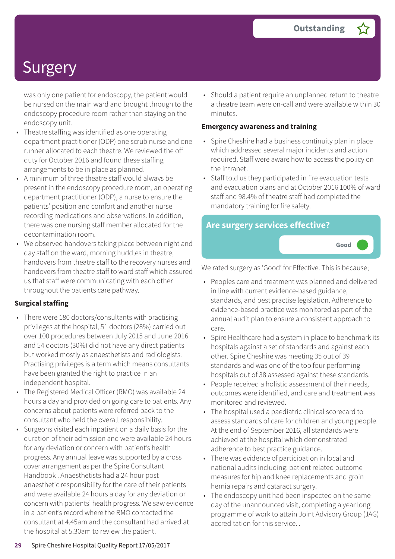was only one patient for endoscopy, the patient would be nursed on the main ward and brought through to the endoscopy procedure room rather than staying on the endoscopy unit.

- Theatre staffing was identified as one operating department practitioner (ODP) one scrub nurse and one runner allocated to each theatre. We reviewed the off duty for October 2016 and found these staffing arrangements to be in place as planned.
- A minimum of three theatre staff would always be present in the endoscopy procedure room, an operating department practitioner (ODP), a nurse to ensure the patients' position and comfort and another nurse recording medications and observations. In addition, there was one nursing staff member allocated for the decontamination room.
- We observed handovers taking place between night and day staff on the ward, morning huddles in theatre, handovers from theatre staff to the recovery nurses and handovers from theatre staff to ward staff which assured us that staff were communicating with each other throughout the patients care pathway.

#### **Surgical staffing**

- There were 180 doctors/consultants with practising privileges at the hospital, 51 doctors (28%) carried out over 100 procedures between July 2015 and June 2016 and 54 doctors (30%) did not have any direct patients but worked mostly as anaesthetists and radiologists. Practising privileges is a term which means consultants have been granted the right to practice in an independent hospital.
- The Registered Medical Officer (RMO) was available 24 hours a day and provided on going care to patients. Any concerns about patients were referred back to the consultant who held the overall responsibility.
- Surgeons visited each inpatient on a daily basis for the duration of their admission and were available 24 hours for any deviation or concern with patient's health progress. Any annual leave was supported by a cross cover arrangement as per the Spire Consultant Handbook . Anaesthetists had a 24 hour post anaesthetic responsibility for the care of their patients and were available 24 hours a day for any deviation or concern with patients' health progress. We saw evidence in a patient's record where the RMO contacted the consultant at 4.45am and the consultant had arrived at the hospital at 5.30am to review the patient.

• Should a patient require an unplanned return to theatre a theatre team were on-call and were available within 30 minutes.

#### **Emergency awareness and training**

- Spire Cheshire had a business continuity plan in place which addressed several major incidents and action required. Staff were aware how to access the policy on the intranet.
- Staff told us they participated in fire evacuation tests and evacuation plans and at October 2016 100% of ward staff and 98.4% of theatre staff had completed the mandatory training for fire safety.

**Good –––**

### **Are surgery services effective?**

We rated surgery as 'Good' for Effective. This is because;

- Peoples care and treatment was planned and delivered in line with current evidence-based guidance, standards, and best practise legislation. Adherence to evidence-based practice was monitored as part of the annual audit plan to ensure a consistent approach to care.
- Spire Healthcare had a system in place to benchmark its hospitals against a set of standards and against each other. Spire Cheshire was meeting 35 out of 39 standards and was one of the top four performing hospitals out of 38 assessed against these standards.
- People received a holistic assessment of their needs, outcomes were identified, and care and treatment was monitored and reviewed.
- The hospital used a paediatric clinical scorecard to assess standards of care for children and young people. At the end of September 2016, all standards were achieved at the hospital which demonstrated adherence to best practice guidance.
- There was evidence of participation in local and national audits including: patient related outcome measures for hip and knee replacements and groin hernia repairs and cataract surgery.
- The endoscopy unit had been inspected on the same day of the unannounced visit, completing a year long programme of work to attain Joint Advisory Group (JAG) accreditation for this service. .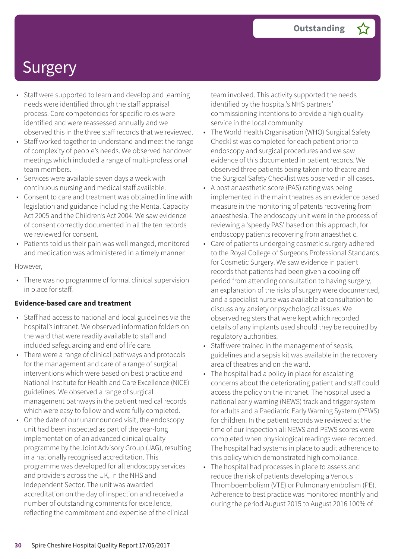- Staff were supported to learn and develop and learning needs were identified through the staff appraisal process. Core competencies for specific roles were identified and were reassessed annually and we observed this in the three staff records that we reviewed.
- Staff worked together to understand and meet the range of complexity of people's needs. We observed handover meetings which included a range of multi-professional team members.
- Services were available seven days a week with continuous nursing and medical staff available.
- Consent to care and treatment was obtained in line with legislation and guidance including the Mental Capacity Act 2005 and the Children's Act 2004. We saw evidence of consent correctly documented in all the ten records we reviewed for consent.
- Patients told us their pain was well manged, monitored and medication was administered in a timely manner.

#### However,

• There was no programme of formal clinical supervision in place for staff.

#### **Evidence-based care and treatment**

- Staff had access to national and local guidelines via the hospital's intranet. We observed information folders on the ward that were readily available to staff and included safeguarding and end of life care.
- There were a range of clinical pathways and protocols for the management and care of a range of surgical interventions which were based on best practice and National Institute for Health and Care Excellence (NICE) guidelines. We observed a range of surgical management pathways in the patient medical records which were easy to follow and were fully completed.
- On the date of our unannounced visit, the endoscopy unit had been inspected as part of the year-long implementation of an advanced clinical quality programme by the Joint Advisory Group (JAG), resulting in a nationally recognised accreditation. This programme was developed for all endoscopy services and providers across the UK, in the NHS and Independent Sector. The unit was awarded accreditation on the day of inspection and received a number of outstanding comments for excellence, reflecting the commitment and expertise of the clinical

team involved. This activity supported the needs identified by the hospital's NHS partners' commissioning intentions to provide a high quality service in the local community

- The World Health Organisation (WHO) Surgical Safety Checklist was completed for each patient prior to endoscopy and surgical procedures and we saw evidence of this documented in patient records. We observed three patients being taken into theatre and the Surgical Safety Checklist was observed in all cases.
- A post anaesthetic score (PAS) rating was being implemented in the main theatres as an evidence based measure in the monitoring of patents recovering from anaesthesia. The endoscopy unit were in the process of reviewing a 'speedy PAS' based on this approach, for endoscopy patients recovering from anaesthetic.
- Care of patients undergoing cosmetic surgery adhered to the Royal College of Surgeons Professional Standards for Cosmetic Surgery. We saw evidence in patient records that patients had been given a cooling off period from attending consultation to having surgery, an explanation of the risks of surgery were documented, and a specialist nurse was available at consultation to discuss any anxiety or psychological issues. We observed registers that were kept which recorded details of any implants used should they be required by regulatory authorities.
- Staff were trained in the management of sepsis, guidelines and a sepsis kit was available in the recovery area of theatres and on the ward.
- The hospital had a policy in place for escalating concerns about the deteriorating patient and staff could access the policy on the intranet. The hospital used a national early warning (NEWS) track and trigger system for adults and a Paediatric Early Warning System (PEWS) for children. In the patient records we reviewed at the time of our inspection all NEWS and PEWS scores were completed when physiological readings were recorded. The hospital had systems in place to audit adherence to this policy which demonstrated high compliance.
- The hospital had processes in place to assess and reduce the risk of patients developing a Venous Thromboembolism (VTE) or Pulmonary embolism (PE). Adherence to best practice was monitored monthly and during the period August 2015 to August 2016 100% of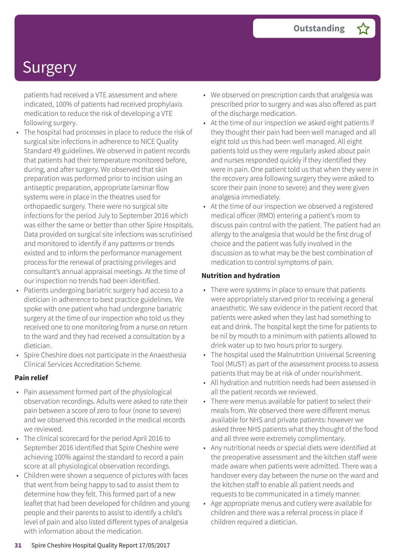patients had received a VTE assessment and where indicated, 100% of patients had received prophylaxis medication to reduce the risk of developing a VTE following surgery.

- The hospital had processes in place to reduce the risk of surgical site infections in adherence to NICE Quality Standard 49 guidelines. We observed in patient records that patients had their temperature monitored before, during, and after surgery. We observed that skin preparation was performed prior to incision using an antiseptic preparation, appropriate laminar flow systems were in place in the theatres used for orthopaedic surgery. There were no surgical site infections for the period July to September 2016 which was either the same or better than other Spire Hospitals. Data provided on surgical site infections was scrutinised and monitored to identify if any patterns or trends existed and to inform the performance management process for the renewal of practising privileges and consultant's annual appraisal meetings. At the time of our inspection no trends had been identified.
- Patients undergoing bariatric surgery had access to a dietician in adherence to best practice guidelines. We spoke with one patient who had undergone bariatric surgery at the time of our inspection who told us they received one to one monitoring from a nurse on return to the ward and they had received a consultation by a dietician.
- Spire Cheshire does not participate in the Anaesthesia Clinical Services Accreditation Scheme.

#### **Pain relief**

- Pain assessment formed part of the physiological observation recordings. Adults were asked to rate their pain between a score of zero to four (none to severe) and we observed this recorded in the medical records we reviewed.
- The clinical scorecard for the period April 2016 to September 2016 identified that Spire Cheshire were achieving 100% against the standard to record a pain score at all physiological observation recordings.
- Children were shown a sequence of pictures with faces that went from being happy to sad to assist them to determine how they felt. This formed part of a new leaflet that had been developed for children and young people and their parents to assist to identify a child's level of pain and also listed different types of analgesia with information about the medication.
- We observed on prescription cards that analgesia was prescribed prior to surgery and was also offered as part of the discharge medication.
- At the time of our inspection we asked eight patients if they thought their pain had been well managed and all eight told us this had been well managed. All eight patients told us they were regularly asked about pain and nurses responded quickly if they identified they were in pain. One patient told us that when they were in the recovery area following surgery they were asked to score their pain (none to severe) and they were given analgesia immediately.
- At the time of our inspection we observed a registered medical officer (RMO) entering a patient's room to discuss pain control with the patient. The patient had an allergy to the analgesia that would be the first drug of choice and the patient was fully involved in the discussion as to what may be the best combination of medication to control symptoms of pain.

#### **Nutrition and hydration**

- There were systems in place to ensure that patients were appropriately starved prior to receiving a general anaesthetic. We saw evidence in the patient record that patients were asked when they last had something to eat and drink. The hospital kept the time for patients to be nil by mouth to a minimum with patients allowed to drink water up to two hours prior to surgery.
- The hospital used the Malnutrition Universal Screening Tool (MUST) as part of the assessment process to assess patients that may be at risk of under nourishment.
- All hydration and nutrition needs had been assessed in all the patient records we reviewed.
- There were menus available for patient to select their meals from. We observed there were different menus available for NHS and private patients: however we asked three NHS patients what they thought of the food and all three were extremely complimentary.
- Any nutritional needs or special diets were identified at the preoperative assessment and the kitchen staff were made aware when patients were admitted. There was a handover every day between the nurse on the ward and the kitchen staff to enable all patient needs and requests to be communicated in a timely manner.
- Age appropriate menus and cutlery were available for children and there was a referral process in place if children required a dietician.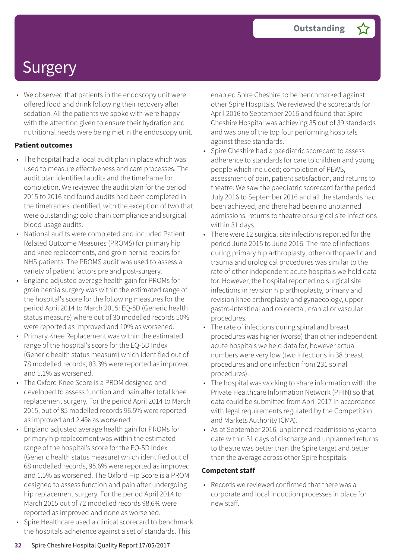• We observed that patients in the endoscopy unit were offered food and drink following their recovery after sedation. All the patients we spoke with were happy with the attention given to ensure their hydration and nutritional needs were being met in the endoscopy unit.

#### **Patient outcomes**

- The hospital had a local audit plan in place which was used to measure effectiveness and care processes. The audit plan identified audits and the timeframe for completion. We reviewed the audit plan for the period 2015 to 2016 and found audits had been completed in the timeframes identified, with the exception of two that were outstanding: cold chain compliance and surgical blood usage audits.
- National audits were completed and included Patient Related Outcome Measures (PROMS) for primary hip and knee replacements, and groin hernia repairs for NHS patients. The PROMS audit was used to assess a variety of patient factors pre and post-surgery.
- England adjusted average health gain for PROMs for groin hernia surgery was within the estimated range of the hospital's score for the following measures for the period April 2014 to March 2015: EQ-5D (Generic health status measure) where out of 30 modelled records 50% were reported as improved and 10% as worsened.
- Primary Knee Replacement was within the estimated range of the hospital's score for the EQ-5D Index (Generic health status measure) which identified out of 78 modelled records, 83.3% were reported as improved and 5.1% as worsened.
- The Oxford Knee Score is a PROM designed and developed to assess function and pain after total knee replacement surgery. For the period April 2014 to March 2015, out of 85 modelled records 96.5% were reported as improved and 2.4% as worsened.
- England adjusted average health gain for PROMs for primary hip replacement was within the estimated range of the hospital's score for the EQ-5D Index (Generic health status measure) which identified out of 68 modelled records, 95.6% were reported as improved and 1.5% as worsened. The Oxford Hip Score is a PROM designed to assess function and pain after undergoing hip replacement surgery. For the period April 2014 to March 2015 out of 72 modelled records 98.6% were reported as improved and none as worsened.
- Spire Healthcare used a clinical scorecard to benchmark the hospitals adherence against a set of standards. This

enabled Spire Cheshire to be benchmarked against other Spire Hospitals. We reviewed the scorecards for April 2016 to September 2016 and found that Spire Cheshire Hospital was achieving 35 out of 39 standards and was one of the top four performing hospitals against these standards.

- Spire Cheshire had a paediatric scorecard to assess adherence to standards for care to children and young people which included; completion of PEWS, assessment of pain, patient satisfaction, and returns to theatre. We saw the paediatric scorecard for the period July 2016 to September 2016 and all the standards had been achieved, and there had been no unplanned admissions, returns to theatre or surgical site infections within 31 days.
- There were 12 surgical site infections reported for the period June 2015 to June 2016. The rate of infections during primary hip arthroplasty, other orthopaedic and trauma and urological procedures was similar to the rate of other independent acute hospitals we hold data for. However, the hospital reported no surgical site infections in revision hip arthroplasty, primary and revision knee arthroplasty and gynaecology, upper gastro-intestinal and colorectal, cranial or vascular procedures.
- The rate of infections during spinal and breast procedures was higher (worse) than other independent acute hospitals we held data for, however actual numbers were very low (two infections in 38 breast procedures and one infection from 231 spinal procedures).
- The hospital was working to share information with the Private Healthcare Information Network (PHIN) so that data could be submitted from April 2017 in accordance with legal requirements regulated by the Competition and Markets Authority (CMA).
- As at September 2016, unplanned readmissions year to date within 31 days of discharge and unplanned returns to theatre was better than the Spire target and better than the average across other Spire hospitals.

#### **Competent staff**

• Records we reviewed confirmed that there was a corporate and local induction processes in place for new staff.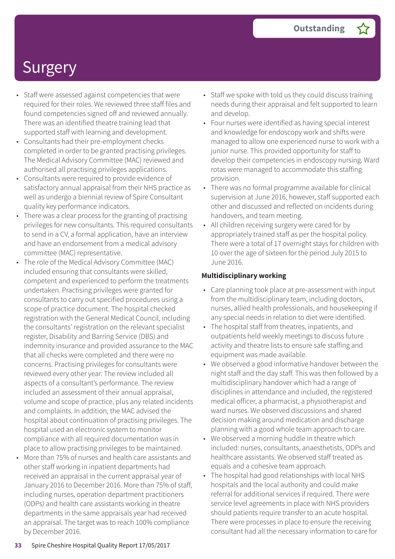- Staff were assessed against competencies that were required for their roles. We reviewed three staff files and found competencies signed off and reviewed annually. There was an identified theatre training lead that supported staff with learning and development.
- Consultants had their pre-employment checks completed in order to be granted practising privileges. The Medical Advisory Committee (MAC) reviewed and authorised all practising privileges applications.
- Consultants were required to provide evidence of satisfactory annual appraisal from their NHS practice as well as undergo a biennial review of Spire Consultant quality key performance indicators.
- There was a clear process for the granting of practising privileges for new consultants. This required consultants to send in a CV, a formal application, have an interview and have an endorsement from a medical advisory committee (MAC) representative.
- The role of the Medical Advisory Committee (MAC) included ensuring that consultants were skilled, competent and experienced to perform the treatments undertaken. Practising privileges were granted for consultants to carry out specified procedures using a scope of practice document. The hospital checked registration with the General Medical Council, including the consultants' registration on the relevant specialist register, Disability and Barring Service (DBS) and indemnity insurance and provided assurance to the MAC that all checks were completed and there were no concerns. Practising privileges for consultants were reviewed every other year. The review included all aspects of a consultant's performance. The review included an assessment of their annual appraisal, volume and scope of practice, plus any related incidents and complaints. In addition, the MAC advised the hospital about continuation of practising privileges. The hospital used an electronic system to monitor compliance with all required documentation was in place to allow practising privileges to be maintained.
- More than 75% of nurses and health care assistants and other staff working in inpatient departments had received an appraisal in the current appraisal year of January 2016 to December 2016. More than 75% of staff, including nurses, operation department practitioners (ODPs) and health care assistants working in theatre departments in the same appraisals year had received an appraisal. The target was to reach 100% compliance by December 2016.
- Staff we spoke with told us they could discuss training needs during their appraisal and felt supported to learn and develop.
- Four nurses were identified as having special interest and knowledge for endoscopy work and shifts were managed to allow one experienced nurse to work with a junior nurse. This provided opportunity for staff to develop their competencies in endoscopy nursing. Ward rotas were managed to accommodate this staffing provision.
- There was no formal programme available for clinical supervision at June 2016, however, staff supported each other and discussed and reflected on incidents during handovers, and team meeting.
- All children receiving surgery were cared for by appropriately trained staff as per the hospital policy. There were a total of 17 overnight stays for children with 10 over the age of sixteen for the period July 2015 to June 2016.

#### **Multidisciplinary working**

- Care planning took place at pre-assessment with input from the multidisciplinary team, including doctors, nurses, allied health professionals, and housekeeping if any special needs in relation to diet were identified.
- The hospital staff from theatres, inpatients, and outpatients held weekly meetings to discuss future activity and theatre lists to ensure safe staffing and equipment was made available.
- We observed a good informative handover between the night staff and the day staff. This was then followed by a multidisciplinary handover which had a range of disciplines in attendance and included, the registered medical officer, a pharmacist, a physiotherapist and ward nurses. We observed discussions and shared decision making around medication and discharge planning with a good whole team approach to care.
- We observed a morning huddle in theatre which included: nurses, consultants, anaesthetists, ODPs and healthcare assistants. We observed staff treated as equals and a cohesive team approach.
- The hospital had good relationships with local NHS hospitals and the local authority and could make referral for additional services if required. There were service level agreements in place with NHS providers should patients require transfer to an acute hospital. There were processes in place to ensure the receiving consultant had all the necessary information to care for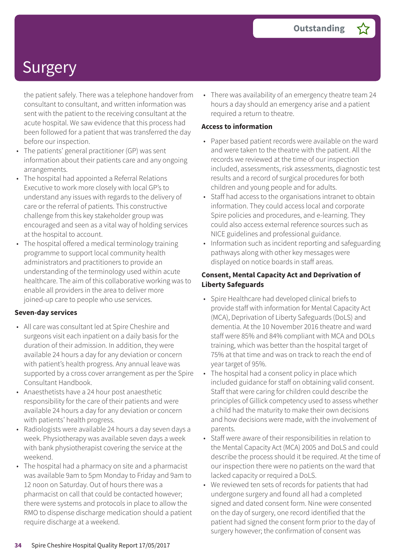the patient safely. There was a telephone handover from consultant to consultant, and written information was sent with the patient to the receiving consultant at the acute hospital. We saw evidence that this process had been followed for a patient that was transferred the day before our inspection.

- The patients' general practitioner (GP) was sent information about their patients care and any ongoing arrangements.
- The hospital had appointed a Referral Relations Executive to work more closely with local GP's to understand any issues with regards to the delivery of care or the referral of patients. This constructive challenge from this key stakeholder group was encouraged and seen as a vital way of holding services at the hospital to account.
- The hospital offered a medical terminology training programme to support local community health administrators and practitioners to provide an understanding of the terminology used within acute healthcare. The aim of this collaborative working was to enable all providers in the area to deliver more joined-up care to people who use services.

#### **Seven-day services**

- All care was consultant led at Spire Cheshire and surgeons visit each inpatient on a daily basis for the duration of their admission. In addition, they were available 24 hours a day for any deviation or concern with patient's health progress. Any annual leave was supported by a cross cover arrangement as per the Spire Consultant Handbook.
- Anaesthetists have a 24 hour post anaesthetic responsibility for the care of their patients and were available 24 hours a day for any deviation or concern with patients' health progress.
- Radiologists were available 24 hours a day seven days a week. Physiotherapy was available seven days a week with bank physiotherapist covering the service at the weekend.
- The hospital had a pharmacy on site and a pharmacist was available 9am to 5pm Monday to Friday and 9am to 12 noon on Saturday. Out of hours there was a pharmacist on call that could be contacted however; there were systems and protocols in place to allow the RMO to dispense discharge medication should a patient require discharge at a weekend.

• There was availability of an emergency theatre team 24 hours a day should an emergency arise and a patient required a return to theatre.

#### **Access to information**

- Paper based patient records were available on the ward and were taken to the theatre with the patient. All the records we reviewed at the time of our inspection included, assessments, risk assessments, diagnostic test results and a record of surgical procedures for both children and young people and for adults.
- Staff had access to the organisations intranet to obtain information. They could access local and corporate Spire policies and procedures, and e-learning. They could also access external reference sources such as NICE guidelines and professional guidance.
- Information such as incident reporting and safeguarding pathways along with other key messages were displayed on notice boards in staff areas.

#### **Consent, Mental Capacity Act and Deprivation of Liberty Safeguards**

- Spire Healthcare had developed clinical briefs to provide staff with information for Mental Capacity Act (MCA), Deprivation of Liberty Safeguards (DoLS) and dementia. At the 10 November 2016 theatre and ward staff were 85% and 84% compliant with MCA and DOLs training, which was better than the hospital target of 75% at that time and was on track to reach the end of year target of 95%.
- The hospital had a consent policy in place which included guidance for staff on obtaining valid consent. Staff that were caring for children could describe the principles of Gillick competency used to assess whether a child had the maturity to make their own decisions and how decisions were made, with the involvement of parents.
- Staff were aware of their responsibilities in relation to the Mental Capacity Act (MCA) 2005 and DoLS and could describe the process should it be required. At the time of our inspection there were no patients on the ward that lacked capacity or required a DoLS.
- We reviewed ten sets of records for patients that had undergone surgery and found all had a completed signed and dated consent form. Nine were consented on the day of surgery, one record identified that the patient had signed the consent form prior to the day of surgery however; the confirmation of consent was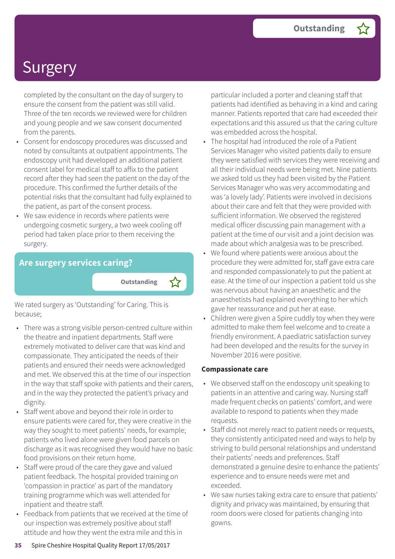completed by the consultant on the day of surgery to ensure the consent from the patient was still valid. Three of the ten records we reviewed were for children and young people and we saw consent documented from the parents.

- Consent for endoscopy procedures was discussed and noted by consultants at outpatient appointments. The endoscopy unit had developed an additional patient consent label for medical staff to affix to the patient record after they had seen the patient on the day of the procedure. This confirmed the further details of the potential risks that the consultant had fully explained to the patient, as part of the consent process.
- We saw evidence in records where patients were undergoing cosmetic surgery, a two week cooling off period had taken place prior to them receiving the surgery.

#### **Are surgery services caring?**

**Outstanding –**

We rated surgery as 'Outstanding' for Caring. This is because;

- There was a strong visible person-centred culture within the theatre and inpatient departments. Staff were extremely motivated to deliver care that was kind and compassionate. They anticipated the needs of their patients and ensured their needs were acknowledged and met. We observed this at the time of our inspection in the way that staff spoke with patients and their carers, and in the way they protected the patient's privacy and dignity.
- Staff went above and beyond their role in order to ensure patients were cared for, they were creative in the way they sought to meet patients' needs, for example; patients who lived alone were given food parcels on discharge as it was recognised they would have no basic food provisions on their return home.
- Staff were proud of the care they gave and valued patient feedback. The hospital provided training on 'compassion in practice' as part of the mandatory training programme which was well attended for inpatient and theatre staff.
- Feedback from patients that we received at the time of our inspection was extremely positive about staff attitude and how they went the extra mile and this in

particular included a porter and cleaning staff that patients had identified as behaving in a kind and caring manner. Patients reported that care had exceeded their expectations and this assured us that the caring culture was embedded across the hospital.

- The hospital had introduced the role of a Patient Services Manager who visited patients daily to ensure they were satisfied with services they were receiving and all their individual needs were being met. Nine patients we asked told us they had been visited by the Patient Services Manager who was very accommodating and was 'a lovely lady'. Patients were involved in decisions about their care and felt that they were provided with sufficient information. We observed the registered medical officer discussing pain management with a patient at the time of our visit and a joint decision was made about which analgesia was to be prescribed.
- We found where patients were anxious about the procedure they were admitted for, staff gave extra care and responded compassionately to put the patient at ease. At the time of our inspection a patient told us she was nervous about having an anaesthetic and the anaesthetists had explained everything to her which gave her reassurance and put her at ease.
- Children were given a Spire cuddly toy when they were admitted to make them feel welcome and to create a friendly environment. A paediatric satisfaction survey had been developed and the results for the survey in November 2016 were positive.

#### **Compassionate care**

- We observed staff on the endoscopy unit speaking to patients in an attentive and caring way. Nursing staff made frequent checks on patients' comfort, and were available to respond to patients when they made requests.
- Staff did not merely react to patient needs or requests, they consistently anticipated need and ways to help by striving to build personal relationships and understand their patients' needs and preferences. Staff demonstrated a genuine desire to enhance the patients' experience and to ensure needs were met and exceeded.
- We saw nurses taking extra care to ensure that patients' dignity and privacy was maintained, by ensuring that room doors were closed for patients changing into gowns.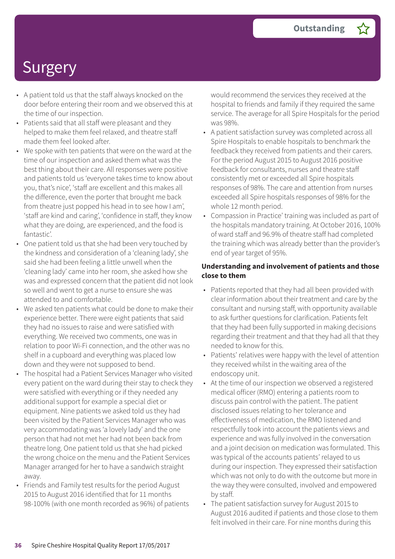- A patient told us that the staff always knocked on the door before entering their room and we observed this at the time of our inspection.
- Patients said that all staff were pleasant and they helped to make them feel relaxed, and theatre staff made them feel looked after.
- We spoke with ten patients that were on the ward at the time of our inspection and asked them what was the best thing about their care. All responses were positive and patients told us 'everyone takes time to know about you, that's nice', 'staff are excellent and this makes all the difference, even the porter that brought me back from theatre just popped his head in to see how I am', 'staff are kind and caring', 'confidence in staff, they know what they are doing, are experienced, and the food is fantastic'.
- One patient told us that she had been very touched by the kindness and consideration of a 'cleaning lady', she said she had been feeling a little unwell when the 'cleaning lady' came into her room, she asked how she was and expressed concern that the patient did not look so well and went to get a nurse to ensure she was attended to and comfortable.
- We asked ten patients what could be done to make their experience better. There were eight patients that said they had no issues to raise and were satisfied with everything. We received two comments, one was in relation to poor Wi-Fi connection, and the other was no shelf in a cupboard and everything was placed low down and they were not supposed to bend.
- The hospital had a Patient Services Manager who visited every patient on the ward during their stay to check they were satisfied with everything or if they needed any additional support for example a special diet or equipment. Nine patients we asked told us they had been visited by the Patient Services Manager who was very accommodating was 'a lovely lady' and the one person that had not met her had not been back from theatre long. One patient told us that she had picked the wrong choice on the menu and the Patient Services Manager arranged for her to have a sandwich straight away.
- Friends and Family test results for the period August 2015 to August 2016 identified that for 11 months 98-100% (with one month recorded as 96%) of patients

would recommend the services they received at the hospital to friends and family if they required the same service. The average for all Spire Hospitals for the period was 98%.

- A patient satisfaction survey was completed across all Spire Hospitals to enable hospitals to benchmark the feedback they received from patients and their carers. For the period August 2015 to August 2016 positive feedback for consultants, nurses and theatre staff consistently met or exceeded all Spire hospitals responses of 98%. The care and attention from nurses exceeded all Spire hospitals responses of 98% for the whole 12 month period.
- Compassion in Practice' training was included as part of the hospitals mandatory training. At October 2016, 100% of ward staff and 96.9% of theatre staff had completed the training which was already better than the provider's end of year target of 95%.

#### **Understanding and involvement of patients and those close to them**

- Patients reported that they had all been provided with clear information about their treatment and care by the consultant and nursing staff, with opportunity available to ask further questions for clarification. Patients felt that they had been fully supported in making decisions regarding their treatment and that they had all that they needed to know for this.
- Patients' relatives were happy with the level of attention they received whilst in the waiting area of the endoscopy unit.
- At the time of our inspection we observed a registered medical officer (RMO) entering a patients room to discuss pain control with the patient. The patient disclosed issues relating to her tolerance and effectiveness of medication, the RMO listened and respectfully took into account the patients views and experience and was fully involved in the conversation and a joint decision on medication was formulated. This was typical of the accounts patients' relayed to us during our inspection. They expressed their satisfaction which was not only to do with the outcome but more in the way they were consulted, involved and empowered by staff.
- The patient satisfaction survey for August 2015 to August 2016 audited if patients and those close to them felt involved in their care. For nine months during this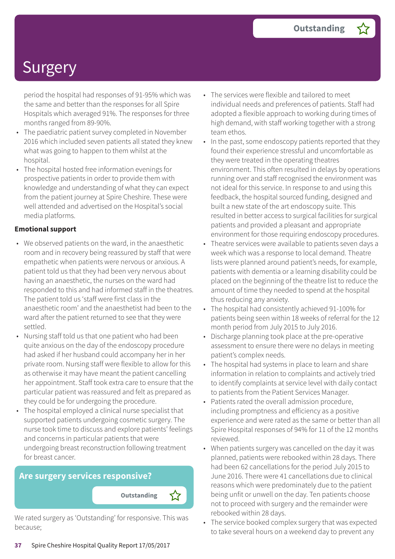period the hospital had responses of 91-95% which was the same and better than the responses for all Spire Hospitals which averaged 91%. The responses for three months ranged from 89-90%.

- The paediatric patient survey completed in November 2016 which included seven patients all stated they knew what was going to happen to them whilst at the hospital.
- The hospital hosted free information evenings for prospective patients in order to provide them with knowledge and understanding of what they can expect from the patient journey at Spire Cheshire. These were well attended and advertised on the Hospital's social media platforms.

#### **Emotional support**

- We observed patients on the ward, in the anaesthetic room and in recovery being reassured by staff that were empathetic when patients were nervous or anxious. A patient told us that they had been very nervous about having an anaesthetic, the nurses on the ward had responded to this and had informed staff in the theatres. The patient told us 'staff were first class in the anaesthetic room' and the anaesthetist had been to the ward after the patient returned to see that they were settled.
- Nursing staff told us that one patient who had been quite anxious on the day of the endoscopy procedure had asked if her husband could accompany her in her private room. Nursing staff were flexible to allow for this as otherwise it may have meant the patient cancelling her appointment. Staff took extra care to ensure that the particular patient was reassured and felt as prepared as they could be for undergoing the procedure.
- The hospital employed a clinical nurse specialist that supported patients undergoing cosmetic surgery. The nurse took time to discuss and explore patients' feelings and concerns in particular patients that were undergoing breast reconstruction following treatment for breast cancer.

### **Are surgery services responsive?**

We rated surgery as 'Outstanding' for responsive. This was because;

- The services were flexible and tailored to meet individual needs and preferences of patients. Staff had adopted a flexible approach to working during times of high demand, with staff working together with a strong team ethos.
- In the past, some endoscopy patients reported that they found their experience stressful and uncomfortable as they were treated in the operating theatres environment. This often resulted in delays by operations running over and staff recognised the environment was not ideal for this service. In response to and using this feedback, the hospital sourced funding, designed and built a new state of the art endoscopy suite. This resulted in better access to surgical facilities for surgical patients and provided a pleasant and appropriate environment for those requiring endoscopy procedures.
- Theatre services were available to patients seven days a week which was a response to local demand. Theatre lists were planned around patient's needs, for example, patients with dementia or a learning disability could be placed on the beginning of the theatre list to reduce the amount of time they needed to spend at the hospital thus reducing any anxiety.
- The hospital had consistently achieved 91-100% for patients being seen within 18 weeks of referral for the 12 month period from July 2015 to July 2016.
- Discharge planning took place at the pre-operative assessment to ensure there were no delays in meeting patient's complex needs.
- The hospital had systems in place to learn and share information in relation to complaints and actively tried to identify complaints at service level with daily contact to patients from the Patient Services Manager.
- Patients rated the overall admission procedure, including promptness and efficiency as a positive experience and were rated as the same or better than all Spire Hospital responses of 94% for 11 of the 12 months reviewed.
- When patients surgery was cancelled on the day it was planned, patients were rebooked within 28 days. There had been 62 cancellations for the period July 2015 to June 2016. There were 41 cancellations due to clinical reasons which were predominately due to the patient being unfit or unwell on the day. Ten patients choose not to proceed with surgery and the remainder were rebooked within 28 days.
- The service booked complex surgery that was expected to take several hours on a weekend day to prevent any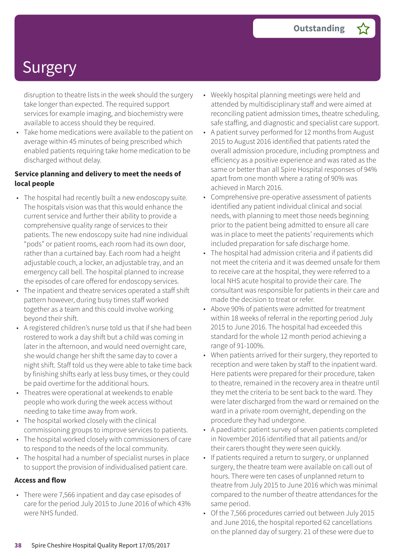disruption to theatre lists in the week should the surgery take longer than expected. The required support services for example imaging, and biochemistry were available to access should they be required.

• Take home medications were available to the patient on average within 45 minutes of being prescribed which enabled patients requiring take home medication to be discharged without delay.

#### **Service planning and delivery to meet the needs of local people**

- The hospital had recently built a new endoscopy suite. The hospitals vision was that this would enhance the current service and further their ability to provide a comprehensive quality range of services to their patients. The new endoscopy suite had nine individual "pods" or patient rooms, each room had its own door, rather than a curtained bay. Each room had a height adjustable couch, a locker, an adjustable tray, and an emergency call bell. The hospital planned to increase the episodes of care offered for endoscopy services.
- The inpatient and theatre services operated a staff shift pattern however, during busy times staff worked together as a team and this could involve working beyond their shift.
- A registered children's nurse told us that if she had been rostered to work a day shift but a child was coming in later in the afternoon, and would need overnight care, she would change her shift the same day to cover a night shift. Staff told us they were able to take time back by finishing shifts early at less busy times, or they could be paid overtime for the additional hours.
- Theatres were operational at weekends to enable people who work during the week access without needing to take time away from work.
- The hospital worked closely with the clinical commissioning groups to improve services to patients.
- The hospital worked closely with commissioners of care to respond to the needs of the local community.
- The hospital had a number of specialist nurses in place to support the provision of individualised patient care.

#### **Access and flow**

• There were 7,566 inpatient and day case episodes of care for the period July 2015 to June 2016 of which 43% were NHS funded.

- Weekly hospital planning meetings were held and attended by multidisciplinary staff and were aimed at reconciling patient admission times, theatre scheduling, safe staffing, and diagnostic and specialist care support.
- A patient survey performed for 12 months from August 2015 to August 2016 identified that patients rated the overall admission procedure, including promptness and efficiency as a positive experience and was rated as the same or better than all Spire Hospital responses of 94% apart from one month where a rating of 90% was achieved in March 2016.
- Comprehensive pre-operative assessment of patients identified any patient individual clinical and social needs, with planning to meet those needs beginning prior to the patient being admitted to ensure all care was in place to meet the patients' requirements which included preparation for safe discharge home.
- The hospital had admission criteria and if patients did not meet the criteria and it was deemed unsafe for them to receive care at the hospital, they were referred to a local NHS acute hospital to provide their care. The consultant was responsible for patients in their care and made the decision to treat or refer.
- Above 90% of patients were admitted for treatment within 18 weeks of referral in the reporting period July 2015 to June 2016. The hospital had exceeded this standard for the whole 12 month period achieving a range of 91-100%.
- When patients arrived for their surgery, they reported to reception and were taken by staff to the inpatient ward. Here patients were prepared for their procedure, taken to theatre, remained in the recovery area in theatre until they met the criteria to be sent back to the ward. They were later discharged from the ward or remained on the ward in a private room overnight, depending on the procedure they had undergone.
- A paediatric patient survey of seven patients completed in November 2016 identified that all patients and/or their carers thought they were seen quickly.
- If patients required a return to surgery, or unplanned surgery, the theatre team were available on call out of hours. There were ten cases of unplanned return to theatre from July 2015 to June 2016 which was minimal compared to the number of theatre attendances for the same period.
- Of the 7,566 procedures carried out between July 2015 and June 2016, the hospital reported 62 cancellations on the planned day of surgery. 21 of these were due to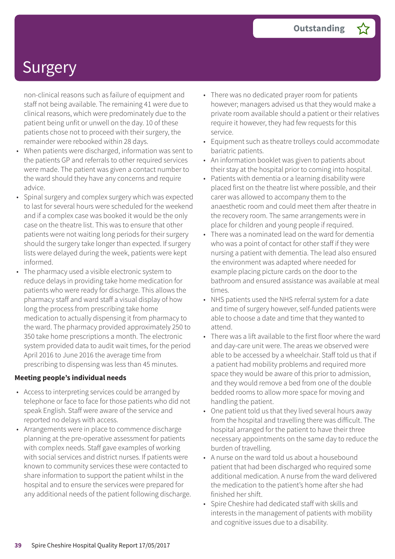non-clinical reasons such as failure of equipment and staff not being available. The remaining 41 were due to clinical reasons, which were predominately due to the patient being unfit or unwell on the day. 10 of these patients chose not to proceed with their surgery, the remainder were rebooked within 28 days.

- When patients were discharged, information was sent to the patients GP and referrals to other required services were made. The patient was given a contact number to the ward should they have any concerns and require advice.
- Spinal surgery and complex surgery which was expected to last for several hours were scheduled for the weekend and if a complex case was booked it would be the only case on the theatre list. This was to ensure that other patients were not waiting long periods for their surgery should the surgery take longer than expected. If surgery lists were delayed during the week, patients were kept informed.
- The pharmacy used a visible electronic system to reduce delays in providing take home medication for patients who were ready for discharge. This allows the pharmacy staff and ward staff a visual display of how long the process from prescribing take home medication to actually dispensing it from pharmacy to the ward. The pharmacy provided approximately 250 to 350 take home prescriptions a month. The electronic system provided data to audit wait times, for the period April 2016 to June 2016 the average time from prescribing to dispensing was less than 45 minutes.

#### **Meeting people's individual needs**

- Access to interpreting services could be arranged by telephone or face to face for those patients who did not speak English. Staff were aware of the service and reported no delays with access.
- Arrangements were in place to commence discharge planning at the pre-operative assessment for patients with complex needs. Staff gave examples of working with social services and district nurses. If patients were known to community services these were contacted to share information to support the patient whilst in the hospital and to ensure the services were prepared for any additional needs of the patient following discharge.
- There was no dedicated prayer room for patients however; managers advised us that they would make a private room available should a patient or their relatives require it however, they had few requests for this service.
- Equipment such as theatre trolleys could accommodate bariatric patients.
- An information booklet was given to patients about their stay at the hospital prior to coming into hospital.
- Patients with dementia or a learning disability were placed first on the theatre list where possible, and their carer was allowed to accompany them to the anaesthetic room and could meet them after theatre in the recovery room. The same arrangements were in place for children and young people if required.
- There was a nominated lead on the ward for dementia who was a point of contact for other staff if they were nursing a patient with dementia. The lead also ensured the environment was adapted where needed for example placing picture cards on the door to the bathroom and ensured assistance was available at meal times.
- NHS patients used the NHS referral system for a date and time of surgery however, self-funded patients were able to choose a date and time that they wanted to attend.
- There was a lift available to the first floor where the ward and day-care unit were. The areas we observed were able to be accessed by a wheelchair. Staff told us that if a patient had mobility problems and required more space they would be aware of this prior to admission, and they would remove a bed from one of the double bedded rooms to allow more space for moving and handling the patient.
- One patient told us that they lived several hours away from the hospital and travelling there was difficult. The hospital arranged for the patient to have their three necessary appointments on the same day to reduce the burden of travelling.
- A nurse on the ward told us about a housebound patient that had been discharged who required some additional medication. A nurse from the ward delivered the medication to the patient's home after she had finished her shift.
- Spire Cheshire had dedicated staff with skills and interests in the management of patients with mobility and cognitive issues due to a disability.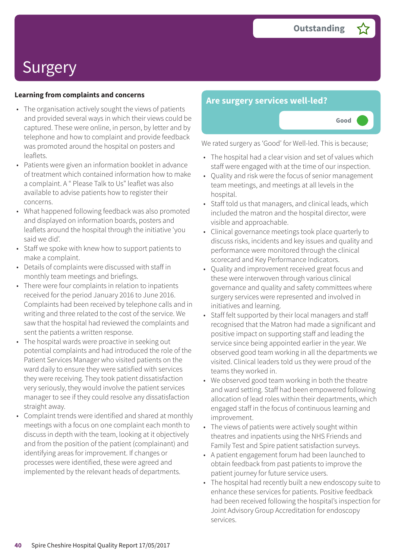#### **Learning from complaints and concerns**

- The organisation actively sought the views of patients and provided several ways in which their views could be captured. These were online, in person, by letter and by telephone and how to complaint and provide feedback was promoted around the hospital on posters and leaflets.
- Patients were given an information booklet in advance of treatment which contained information how to make a complaint. A " Please Talk to Us" leaflet was also available to advise patients how to register their concerns.
- What happened following feedback was also promoted and displayed on information boards, posters and leaflets around the hospital through the initiative 'you said we did'.
- Staff we spoke with knew how to support patients to make a complaint.
- Details of complaints were discussed with staff in monthly team meetings and briefings.
- There were four complaints in relation to inpatients received for the period January 2016 to June 2016. Complaints had been received by telephone calls and in writing and three related to the cost of the service. We saw that the hospital had reviewed the complaints and sent the patients a written response.
- The hospital wards were proactive in seeking out potential complaints and had introduced the role of the Patient Services Manager who visited patients on the ward daily to ensure they were satisfied with services they were receiving. They took patient dissatisfaction very seriously, they would involve the patient services manager to see if they could resolve any dissatisfaction straight away.
- Complaint trends were identified and shared at monthly meetings with a focus on one complaint each month to discuss in depth with the team, looking at it objectively and from the position of the patient (complainant) and identifying areas for improvement. If changes or processes were identified, these were agreed and implemented by the relevant heads of departments.

### **Are surgery services well-led?**



We rated surgery as 'Good' for Well-led. This is because;

- The hospital had a clear vision and set of values which staff were engaged with at the time of our inspection.
- Quality and risk were the focus of senior management team meetings, and meetings at all levels in the hospital.
- Staff told us that managers, and clinical leads, which included the matron and the hospital director, were visible and approachable.
- Clinical governance meetings took place quarterly to discuss risks, incidents and key issues and quality and performance were monitored through the clinical scorecard and Key Performance Indicators.
- Quality and improvement received great focus and these were interwoven through various clinical governance and quality and safety committees where surgery services were represented and involved in initiatives and learning.
- Staff felt supported by their local managers and staff recognised that the Matron had made a significant and positive impact on supporting staff and leading the service since being appointed earlier in the year. We observed good team working in all the departments we visited. Clinical leaders told us they were proud of the teams they worked in.
- We observed good team working in both the theatre and ward setting. Staff had been empowered following allocation of lead roles within their departments, which engaged staff in the focus of continuous learning and improvement.
- The views of patients were actively sought within theatres and inpatients using the NHS Friends and Family Test and Spire patient satisfaction surveys.
- A patient engagement forum had been launched to obtain feedback from past patients to improve the patient journey for future service users.
- The hospital had recently built a new endoscopy suite to enhance these services for patients. Positive feedback had been received following the hospital's inspection for Joint Advisory Group Accreditation for endoscopy services.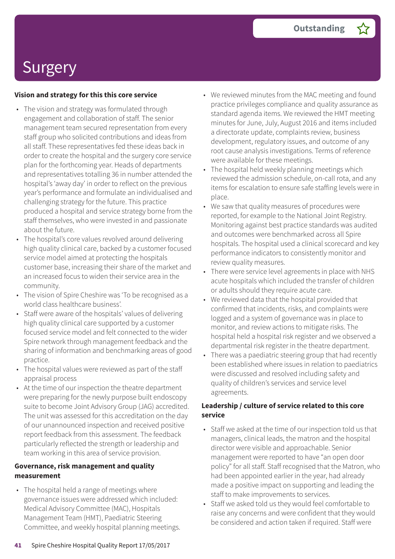#### **Vision and strategy for this this core service**

- The vision and strategy was formulated through engagement and collaboration of staff. The senior management team secured representation from every staff group who solicited contributions and ideas from all staff. These representatives fed these ideas back in order to create the hospital and the surgery core service plan for the forthcoming year. Heads of departments and representatives totalling 36 in number attended the hospital's 'away day' in order to reflect on the previous year's performance and formulate an individualised and challenging strategy for the future. This practice produced a hospital and service strategy borne from the staff themselves, who were invested in and passionate about the future.
- The hospital's core values revolved around delivering high quality clinical care, backed by a customer focused service model aimed at protecting the hospitals customer base, increasing their share of the market and an increased focus to widen their service area in the community.
- The vision of Spire Cheshire was 'To be recognised as a world class healthcare business'.
- Staff were aware of the hospitals' values of delivering high quality clinical care supported by a customer focused service model and felt connected to the wider Spire network through management feedback and the sharing of information and benchmarking areas of good practice.
- The hospital values were reviewed as part of the staff appraisal process
- At the time of our inspection the theatre department were preparing for the newly purpose built endoscopy suite to become Joint Advisory Group (JAG) accredited. The unit was assessed for this accreditation on the day of our unannounced inspection and received positive report feedback from this assessment. The feedback particularly reflected the strength or leadership and team working in this area of service provision.

#### **Governance, risk management and quality measurement**

• The hospital held a range of meetings where governance issues were addressed which included: Medical Advisory Committee (MAC), Hospitals Management Team (HMT), Paediatric Steering Committee, and weekly hospital planning meetings.

- We reviewed minutes from the MAC meeting and found practice privileges compliance and quality assurance as standard agenda items. We reviewed the HMT meeting minutes for June, July, August 2016 and items included a directorate update, complaints review, business development, regulatory issues, and outcome of any root cause analysis investigations. Terms of reference were available for these meetings.
- The hospital held weekly planning meetings which reviewed the admission schedule, on-call rota, and any items for escalation to ensure safe staffing levels were in place.
- We saw that quality measures of procedures were reported, for example to the National Joint Registry. Monitoring against best practice standards was audited and outcomes were benchmarked across all Spire hospitals. The hospital used a clinical scorecard and key performance indicators to consistently monitor and review quality measures.
- There were service level agreements in place with NHS acute hospitals which included the transfer of children or adults should they require acute care.
- We reviewed data that the hospital provided that confirmed that incidents, risks, and complaints were logged and a system of governance was in place to monitor, and review actions to mitigate risks. The hospital held a hospital risk register and we observed a departmental risk register in the theatre department.
- There was a paediatric steering group that had recently been established where issues in relation to paediatrics were discussed and resolved including safety and quality of children's services and service level agreements.

#### **Leadership / culture of service related to this core service**

- Staff we asked at the time of our inspection told us that managers, clinical leads, the matron and the hospital director were visible and approachable. Senior management were reported to have "an open door policy" for all staff. Staff recognised that the Matron, who had been appointed earlier in the year, had already made a positive impact on supporting and leading the staff to make improvements to services.
- Staff we asked told us they would feel comfortable to raise any concerns and were confident that they would be considered and action taken if required. Staff were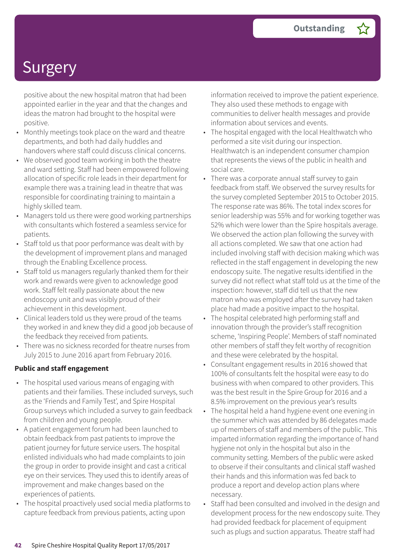positive about the new hospital matron that had been appointed earlier in the year and that the changes and ideas the matron had brought to the hospital were positive.

- Monthly meetings took place on the ward and theatre departments, and both had daily huddles and handovers where staff could discuss clinical concerns.
- We observed good team working in both the theatre and ward setting. Staff had been empowered following allocation of specific role leads in their department for example there was a training lead in theatre that was responsible for coordinating training to maintain a highly skilled team.
- Managers told us there were good working partnerships with consultants which fostered a seamless service for patients.
- Staff told us that poor performance was dealt with by the development of improvement plans and managed through the Enabling Excellence process.
- Staff told us managers regularly thanked them for their work and rewards were given to acknowledge good work. Staff felt really passionate about the new endoscopy unit and was visibly proud of their achievement in this development.
- Clinical leaders told us they were proud of the teams they worked in and knew they did a good job because of the feedback they received from patients.
- There was no sickness recorded for theatre nurses from July 2015 to June 2016 apart from February 2016.

#### **Public and staff engagement**

- The hospital used various means of engaging with patients and their families. These included surveys, such as the 'Friends and Family Test', and Spire Hospital Group surveys which included a survey to gain feedback from children and young people.
- A patient engagement forum had been launched to obtain feedback from past patients to improve the patient journey for future service users. The hospital enlisted individuals who had made complaints to join the group in order to provide insight and cast a critical eye on their services. They used this to identify areas of improvement and make changes based on the experiences of patients.
- The hospital proactively used social media platforms to capture feedback from previous patients, acting upon

information received to improve the patient experience. They also used these methods to engage with communities to deliver health messages and provide information about services and events.

- The hospital engaged with the local Healthwatch who performed a site visit during our inspection. Healthwatch is an independent consumer champion that represents the views of the public in health and social care.
- There was a corporate annual staff survey to gain feedback from staff. We observed the survey results for the survey completed September 2015 to October 2015. The response rate was 86%. The total index scores for senior leadership was 55% and for working together was 52% which were lower than the Spire hospitals average. We observed the action plan following the survey with all actions completed. We saw that one action had included involving staff with decision making which was reflected in the staff engagement in developing the new endoscopy suite. The negative results identified in the survey did not reflect what staff told us at the time of the inspection: however, staff did tell us that the new matron who was employed after the survey had taken place had made a positive impact to the hospital.
- The hospital celebrated high performing staff and innovation through the provider's staff recognition scheme, 'Inspiring People'. Members of staff nominated other members of staff they felt worthy of recognition and these were celebrated by the hospital.
- Consultant engagement results in 2016 showed that 100% of consultants felt the hospital were easy to do business with when compared to other providers. This was the best result in the Spire Group for 2016 and a 8.5% improvement on the previous year's results
- The hospital held a hand hygiene event one evening in the summer which was attended by 86 delegates made up of members of staff and members of the public. This imparted information regarding the importance of hand hygiene not only in the hospital but also in the community setting. Members of the public were asked to observe if their consultants and clinical staff washed their hands and this information was fed back to produce a report and develop action plans where necessary.
- Staff had been consulted and involved in the design and development process for the new endoscopy suite. They had provided feedback for placement of equipment such as plugs and suction apparatus. Theatre staff had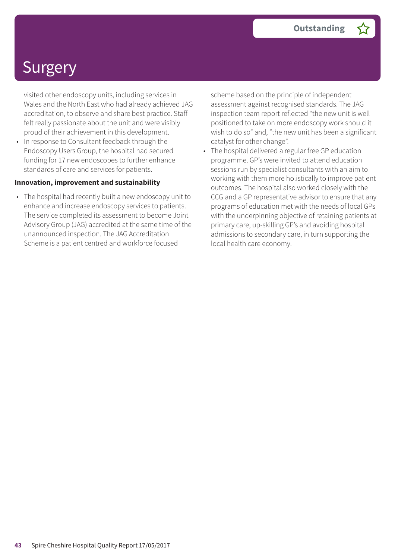visited other endoscopy units, including services in Wales and the North East who had already achieved JAG accreditation, to observe and share best practice. Staff felt really passionate about the unit and were visibly proud of their achievement in this development.

• In response to Consultant feedback through the Endoscopy Users Group, the hospital had secured funding for 17 new endoscopes to further enhance standards of care and services for patients.

#### **Innovation, improvement and sustainability**

• The hospital had recently built a new endoscopy unit to enhance and increase endoscopy services to patients. The service completed its assessment to become Joint Advisory Group (JAG) accredited at the same time of the unannounced inspection. The JAG Accreditation Scheme is a patient centred and workforce focused

scheme based on the principle of independent assessment against recognised standards. The JAG inspection team report reflected "the new unit is well positioned to take on more endoscopy work should it wish to do so" and, "the new unit has been a significant catalyst for other change".

• The hospital delivered a regular free GP education programme. GP's were invited to attend education sessions run by specialist consultants with an aim to working with them more holistically to improve patient outcomes. The hospital also worked closely with the CCG and a GP representative advisor to ensure that any programs of education met with the needs of local GPs with the underpinning objective of retaining patients at primary care, up-skilling GP's and avoiding hospital admissions to secondary care, in turn supporting the local health care economy.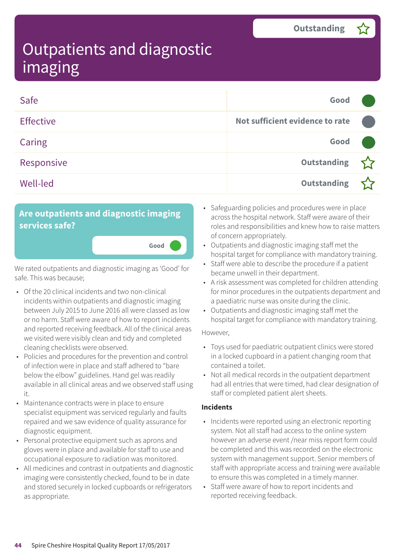| Safe             | Good                            |  |
|------------------|---------------------------------|--|
| <b>Effective</b> | Not sufficient evidence to rate |  |
| Caring           | Good                            |  |
| Responsive       | Outstanding                     |  |
| <b>Well-led</b>  | <b>Outstanding</b>              |  |

### **Are outpatients and diagnostic imaging services safe?**

We rated outpatients and diagnostic imaging as 'Good' for safe. This was because;

**Good –––**

- Of the 20 clinical incidents and two non-clinical incidents within outpatients and diagnostic imaging between July 2015 to June 2016 all were classed as low or no harm. Staff were aware of how to report incidents and reported receiving feedback. All of the clinical areas we visited were visibly clean and tidy and completed cleaning checklists were observed.
- Policies and procedures for the prevention and control of infection were in place and staff adhered to "bare below the elbow" guidelines. Hand gel was readily available in all clinical areas and we observed staff using it.
- Maintenance contracts were in place to ensure specialist equipment was serviced regularly and faults repaired and we saw evidence of quality assurance for diagnostic equipment.
- Personal protective equipment such as aprons and gloves were in place and available for staff to use and occupational exposure to radiation was monitored.
- All medicines and contrast in outpatients and diagnostic imaging were consistently checked, found to be in date and stored securely in locked cupboards or refrigerators as appropriate.
- Safeguarding policies and procedures were in place across the hospital network. Staff were aware of their roles and responsibilities and knew how to raise matters of concern appropriately.
- Outpatients and diagnostic imaging staff met the hospital target for compliance with mandatory training.
- Staff were able to describe the procedure if a patient became unwell in their department.
- A risk assessment was completed for children attending for minor procedures in the outpatients department and a paediatric nurse was onsite during the clinic.
- Outpatients and diagnostic imaging staff met the hospital target for compliance with mandatory training.

#### However,

- Toys used for paediatric outpatient clinics were stored in a locked cupboard in a patient changing room that contained a toilet.
- Not all medical records in the outpatient department had all entries that were timed, had clear designation of staff or completed patient alert sheets.

#### **Incidents**

- Incidents were reported using an electronic reporting system. Not all staff had access to the online system however an adverse event /near miss report form could be completed and this was recorded on the electronic system with management support. Senior members of staff with appropriate access and training were available to ensure this was completed in a timely manner.
- Staff were aware of how to report incidents and reported receiving feedback.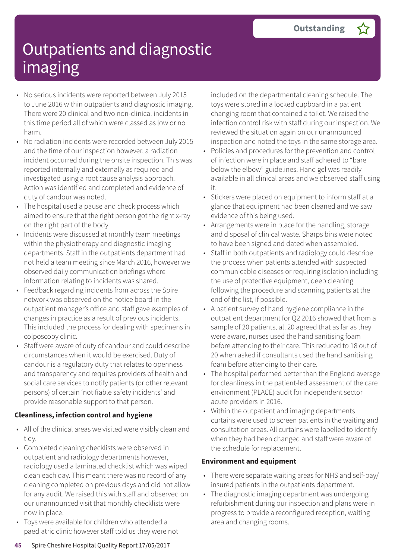- No serious incidents were reported between July 2015 to June 2016 within outpatients and diagnostic imaging. There were 20 clinical and two non-clinical incidents in this time period all of which were classed as low or no harm.
- No radiation incidents were recorded between July 2015 and the time of our inspection however, a radiation incident occurred during the onsite inspection. This was reported internally and externally as required and investigated using a root cause analysis approach. Action was identified and completed and evidence of duty of candour was noted.
- The hospital used a pause and check process which aimed to ensure that the right person got the right x-ray on the right part of the body.
- Incidents were discussed at monthly team meetings within the physiotherapy and diagnostic imaging departments. Staff in the outpatients department had not held a team meeting since March 2016, however we observed daily communication briefings where information relating to incidents was shared.
- Feedback regarding incidents from across the Spire network was observed on the notice board in the outpatient manager's office and staff gave examples of changes in practice as a result of previous incidents. This included the process for dealing with specimens in colposcopy clinic.
- Staff were aware of duty of candour and could describe circumstances when it would be exercised. Duty of candour is a regulatory duty that relates to openness and transparency and requires providers of health and social care services to notify patients (or other relevant persons) of certain 'notifiable safety incidents' and provide reasonable support to that person.

#### **Cleanliness, infection control and hygiene**

- All of the clinical areas we visited were visibly clean and tidy.
- Completed cleaning checklists were observed in outpatient and radiology departments however, radiology used a laminated checklist which was wiped clean each day. This meant there was no record of any cleaning completed on previous days and did not allow for any audit. We raised this with staff and observed on our unannounced visit that monthly checklists were now in place.
- Toys were available for children who attended a paediatric clinic however staff told us they were not

included on the departmental cleaning schedule. The toys were stored in a locked cupboard in a patient changing room that contained a toilet. We raised the infection control risk with staff during our inspection. We reviewed the situation again on our unannounced inspection and noted the toys in the same storage area.

- Policies and procedures for the prevention and control of infection were in place and staff adhered to "bare below the elbow" guidelines. Hand gel was readily available in all clinical areas and we observed staff using it.
- Stickers were placed on equipment to inform staff at a glance that equipment had been cleaned and we saw evidence of this being used.
- Arrangements were in place for the handling, storage and disposal of clinical waste. Sharps bins were noted to have been signed and dated when assembled.
- Staff in both outpatients and radiology could describe the process when patients attended with suspected communicable diseases or requiring isolation including the use of protective equipment, deep cleaning following the procedure and scanning patients at the end of the list, if possible.
- A patient survey of hand hygiene compliance in the outpatient department for Q2 2016 showed that from a sample of 20 patients, all 20 agreed that as far as they were aware, nurses used the hand sanitising foam before attending to their care. This reduced to 18 out of 20 when asked if consultants used the hand sanitising foam before attending to their care.
- The hospital performed better than the England average for cleanliness in the patient-led assessment of the care environment (PLACE) audit for independent sector acute providers in 2016.
- Within the outpatient and imaging departments curtains were used to screen patients in the waiting and consultation areas. All curtains were labelled to identify when they had been changed and staff were aware of the schedule for replacement.

#### **Environment and equipment**

- There were separate waiting areas for NHS and self-pay/ insured patients in the outpatients department.
- The diagnostic imaging department was undergoing refurbishment during our inspection and plans were in progress to provide a reconfigured reception, waiting area and changing rooms.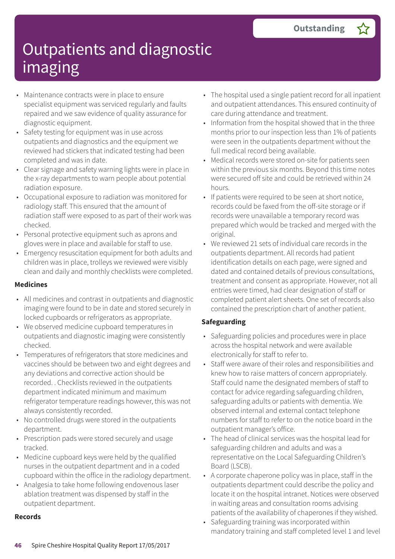- Maintenance contracts were in place to ensure specialist equipment was serviced regularly and faults repaired and we saw evidence of quality assurance for diagnostic equipment.
- Safety testing for equipment was in use across outpatients and diagnostics and the equipment we reviewed had stickers that indicated testing had been completed and was in date.
- Clear signage and safety warning lights were in place in the x-ray departments to warn people about potential radiation exposure.
- Occupational exposure to radiation was monitored for radiology staff. This ensured that the amount of radiation staff were exposed to as part of their work was checked.
- Personal protective equipment such as aprons and gloves were in place and available for staff to use.
- Emergency resuscitation equipment for both adults and children was in place, trolleys we reviewed were visibly clean and daily and monthly checklists were completed.

#### **Medicines**

- All medicines and contrast in outpatients and diagnostic imaging were found to be in date and stored securely in locked cupboards or refrigerators as appropriate.
- We observed medicine cupboard temperatures in outpatients and diagnostic imaging were consistently checked.
- Temperatures of refrigerators that store medicines and vaccines should be between two and eight degrees and any deviations and corrective action should be recorded. . Checklists reviewed in the outpatients department indicated minimum and maximum refrigerator temperature readings however, this was not always consistently recorded.
- No controlled drugs were stored in the outpatients department.
- Prescription pads were stored securely and usage tracked.
- Medicine cupboard keys were held by the qualified nurses in the outpatient department and in a coded cupboard within the office in the radiology department.
- Analgesia to take home following endovenous laser ablation treatment was dispensed by staff in the outpatient department.

#### **Records**

- The hospital used a single patient record for all inpatient and outpatient attendances. This ensured continuity of care during attendance and treatment.
- Information from the hospital showed that in the three months prior to our inspection less than 1% of patients were seen in the outpatients department without the full medical record being available.
- Medical records were stored on-site for patients seen within the previous six months. Beyond this time notes were secured off site and could be retrieved within 24 hours.
- If patients were required to be seen at short notice, records could be faxed from the off-site storage or if records were unavailable a temporary record was prepared which would be tracked and merged with the original.
- We reviewed 21 sets of individual care records in the outpatients department. All records had patient identification details on each page, were signed and dated and contained details of previous consultations, treatment and consent as appropriate. However, not all entries were timed, had clear designation of staff or completed patient alert sheets. One set of records also contained the prescription chart of another patient.

#### **Safeguarding**

- Safeguarding policies and procedures were in place across the hospital network and were available electronically for staff to refer to.
- Staff were aware of their roles and responsibilities and knew how to raise matters of concern appropriately. Staff could name the designated members of staff to contact for advice regarding safeguarding children, safeguarding adults or patients with dementia. We observed internal and external contact telephone numbers for staff to refer to on the notice board in the outpatient manager's office.
- The head of clinical services was the hospital lead for safeguarding children and adults and was a representative on the Local Safeguarding Children's Board (LSCB).
- A corporate chaperone policy was in place, staff in the outpatients department could describe the policy and locate it on the hospital intranet. Notices were observed in waiting areas and consultation rooms advising patients of the availability of chaperones if they wished.
- Safeguarding training was incorporated within mandatory training and staff completed level 1 and level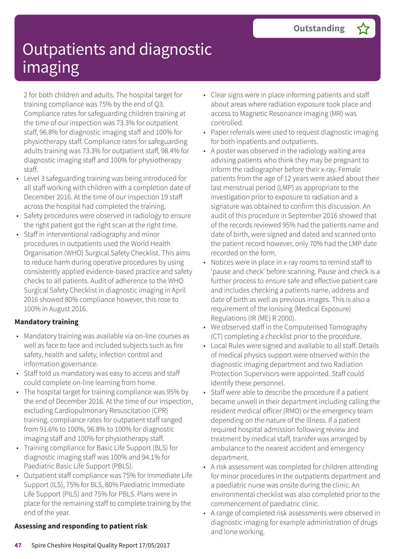2 for both children and adults. The hospital target for training compliance was 75% by the end of Q3. Compliance rates for safeguarding children training at the time of our inspection was 73.3% for outpatient staff, 96.8% for diagnostic imaging staff and 100% for physiotherapy staff. Compliance rates for safeguarding adults training was 73.3% for outpatient staff, 98.4% for diagnostic imaging staff and 100% for physiotherapy staff.

- Level 3 safeguarding training was being introduced for all staff working with children with a completion date of December 2016. At the time of our inspection 19 staff across the hospital had completed the training.
- Safety procedures were observed in radiology to ensure the right patient got the right scan at the right time.
- Staff in interventional radiography and minor procedures in outpatients used the World Health Organisation (WHO) Surgical Safety Checklist. This aims to reduce harm during operative procedures by using consistently applied evidence-based practice and safety checks to all patients. Audit of adherence to the WHO Surgical Safety Checklist in diagnostic imaging in April 2016 showed 80% compliance however, this rose to 100% in August 2016.

#### **Mandatory training**

- Mandatory training was available via on-line courses as well as face to face and included subjects such as fire safety, health and safety, infection control and information governance.
- Staff told us mandatory was easy to access and staff could complete on-line learning from home.
- The hospital target for training compliance was 95% by the end of December 2016. At the time of our inspection, excluding Cardiopulmonary Resuscitation (CPR) training, compliance rates for outpatient staff ranged from 91.6% to 100%, 96.8% to 100% for diagnostic imaging staff and 100% for physiotherapy staff.
- Training compliance for Basic Life Support (BLS) for diagnostic imaging staff was 100% and 94.1% for Paediatric Basic Life Support (PBLS).
- Outpatient staff compliance was 75% for Immediate Life Support (ILS), 75% for BLS, 80% Paediatric Immediate Life Support (PILS) and 75% for PBLS. Plans were in place for the remaining staff to complete training by the end of the year.

#### **Assessing and responding to patient risk**

- Clear signs were in place informing patients and staff about areas where radiation exposure took place and access to Magnetic Resonance imaging (MR) was controlled.
- Paper referrals were used to request diagnostic imaging for both inpatients and outpatients.
- A poster was observed in the radiology waiting area advising patients who think they may be pregnant to inform the radiographer before their x-ray. Female patients from the age of 12 years were asked about their last menstrual period (LMP) as appropriate to the investigation prior to exposure to radiation and a signature was obtained to confirm this discussion. An audit of this procedure in September 2016 showed that of the records reviewed 95% had the patients name and date of birth, were signed and dated and scanned onto the patient record however, only 70% had the LMP date recorded on the form.
- Notices were in place in x-ray rooms to remind staff to 'pause and check' before scanning. Pause and check is a further process to ensure safe and effective patient care and includes checking a patients name, address and date of birth as well as previous images. This is also a requirement of the Ionising (Medical Exposure) Regulations (IR (ME) R 2000).
- We observed staff in the Computerised Tomography (CT) completing a checklist prior to the procedure.
- Local Rules were signed and available to all staff. Details of medical physics support were observed within the diagnostic imaging department and two Radiation Protection Supervisors were appointed. Staff could identify these personnel.
- Staff were able to describe the procedure if a patient became unwell in their department including calling the resident medical officer (RMO) or the emergency team depending on the nature of the illness. If a patient required hospital admission following review and treatment by medical staff, transfer was arranged by ambulance to the nearest accident and emergency department.
- A risk assessment was completed for children attending for minor procedures in the outpatients department and a paediatric nurse was onsite during the clinic. An environmental checklist was also completed prior to the commencement of paediatric clinic.
- A range of completed risk assessments were observed in diagnostic imaging for example administration of drugs and lone working.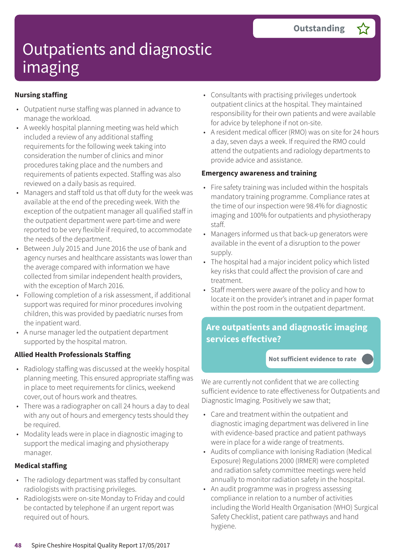### **Nursing staffing**

- Outpatient nurse staffing was planned in advance to manage the workload.
- A weekly hospital planning meeting was held which included a review of any additional staffing requirements for the following week taking into consideration the number of clinics and minor procedures taking place and the numbers and requirements of patients expected. Staffing was also reviewed on a daily basis as required.
- Managers and staff told us that off duty for the week was available at the end of the preceding week. With the exception of the outpatient manager all qualified staff in the outpatient department were part-time and were reported to be very flexible if required, to accommodate the needs of the department.
- Between July 2015 and June 2016 the use of bank and agency nurses and healthcare assistants was lower than the average compared with information we have collected from similar independent health providers, with the exception of March 2016.
- Following completion of a risk assessment, if additional support was required for minor procedures involving children, this was provided by paediatric nurses from the inpatient ward.
- A nurse manager led the outpatient department supported by the hospital matron.

### **Allied Health Professionals Staffing**

- Radiology staffing was discussed at the weekly hospital planning meeting. This ensured appropriate staffing was in place to meet requirements for clinics, weekend cover, out of hours work and theatres.
- There was a radiographer on call 24 hours a day to deal with any out of hours and emergency tests should they be required.
- Modality leads were in place in diagnostic imaging to support the medical imaging and physiotherapy manager.

#### **Medical staffing**

- The radiology department was staffed by consultant radiologists with practising privileges.
- Radiologists were on-site Monday to Friday and could be contacted by telephone if an urgent report was required out of hours.
- Consultants with practising privileges undertook outpatient clinics at the hospital. They maintained responsibility for their own patients and were available for advice by telephone if not on-site.
- A resident medical officer (RMO) was on site for 24 hours a day, seven days a week. If required the RMO could attend the outpatients and radiology departments to provide advice and assistance.

#### **Emergency awareness and training**

- Fire safety training was included within the hospitals mandatory training programme. Compliance rates at the time of our inspection were 98.4% for diagnostic imaging and 100% for outpatients and physiotherapy staff.
- Managers informed us that back-up generators were available in the event of a disruption to the power supply.
- The hospital had a major incident policy which listed key risks that could affect the provision of care and treatment.
- Staff members were aware of the policy and how to locate it on the provider's intranet and in paper format within the post room in the outpatient department.

### **Are outpatients and diagnostic imaging services effective?**

#### **Not sufficient evidence to rate –––**

We are currently not confident that we are collecting sufficient evidence to rate effectiveness for Outpatients and Diagnostic Imaging. Positively we saw that;

- Care and treatment within the outpatient and diagnostic imaging department was delivered in line with evidence-based practice and patient pathways were in place for a wide range of treatments.
- Audits of compliance with Ionising Radiation (Medical Exposure) Regulations 2000 (IRMER) were completed and radiation safety committee meetings were held annually to monitor radiation safety in the hospital.
- An audit programme was in progress assessing compliance in relation to a number of activities including the World Health Organisation (WHO) Surgical Safety Checklist, patient care pathways and hand hygiene.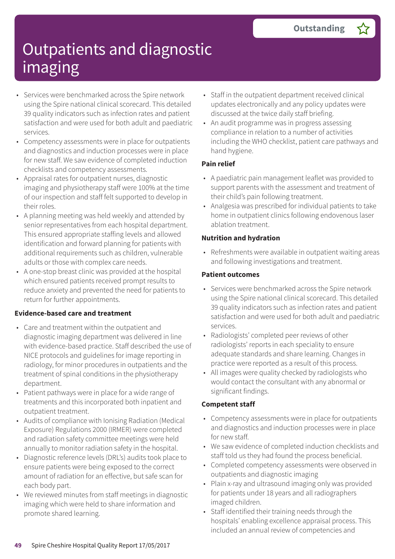- Services were benchmarked across the Spire network using the Spire national clinical scorecard. This detailed 39 quality indicators such as infection rates and patient satisfaction and were used for both adult and paediatric services.
- Competency assessments were in place for outpatients and diagnostics and induction processes were in place for new staff. We saw evidence of completed induction checklists and competency assessments.
- Appraisal rates for outpatient nurses, diagnostic imaging and physiotherapy staff were 100% at the time of our inspection and staff felt supported to develop in their roles.
- A planning meeting was held weekly and attended by senior representatives from each hospital department. This ensured appropriate staffing levels and allowed identification and forward planning for patients with additional requirements such as children, vulnerable adults or those with complex care needs.
- A one-stop breast clinic was provided at the hospital which ensured patients received prompt results to reduce anxiety and prevented the need for patients to return for further appointments.

#### **Evidence-based care and treatment**

- Care and treatment within the outpatient and diagnostic imaging department was delivered in line with evidence-based practice. Staff described the use of NICE protocols and guidelines for image reporting in radiology, for minor procedures in outpatients and the treatment of spinal conditions in the physiotherapy department.
- Patient pathways were in place for a wide range of treatments and this incorporated both inpatient and outpatient treatment.
- Audits of compliance with Ionising Radiation (Medical Exposure) Regulations 2000 (IRMER) were completed and radiation safety committee meetings were held annually to monitor radiation safety in the hospital.
- Diagnostic reference levels (DRL's) audits took place to ensure patients were being exposed to the correct amount of radiation for an effective, but safe scan for each body part.
- We reviewed minutes from staff meetings in diagnostic imaging which were held to share information and promote shared learning.
- Staff in the outpatient department received clinical updates electronically and any policy updates were discussed at the twice daily staff briefing.
- An audit programme was in progress assessing compliance in relation to a number of activities including the WHO checklist, patient care pathways and hand hygiene.

#### **Pain relief**

- A paediatric pain management leaflet was provided to support parents with the assessment and treatment of their child's pain following treatment.
- Analgesia was prescribed for individual patients to take home in outpatient clinics following endovenous laser ablation treatment.

### **Nutrition and hydration**

• Refreshments were available in outpatient waiting areas and following investigations and treatment.

#### **Patient outcomes**

- Services were benchmarked across the Spire network using the Spire national clinical scorecard. This detailed 39 quality indicators such as infection rates and patient satisfaction and were used for both adult and paediatric services.
- Radiologists' completed peer reviews of other radiologists' reports in each speciality to ensure adequate standards and share learning. Changes in practice were reported as a result of this process.
- All images were quality checked by radiologists who would contact the consultant with any abnormal or significant findings.

#### **Competent staff**

- Competency assessments were in place for outpatients and diagnostics and induction processes were in place for new staff.
- We saw evidence of completed induction checklists and staff told us they had found the process beneficial.
- Completed competency assessments were observed in outpatients and diagnostic imaging
- Plain x-ray and ultrasound imaging only was provided for patients under 18 years and all radiographers imaged children.
- Staff identified their training needs through the hospitals' enabling excellence appraisal process. This included an annual review of competencies and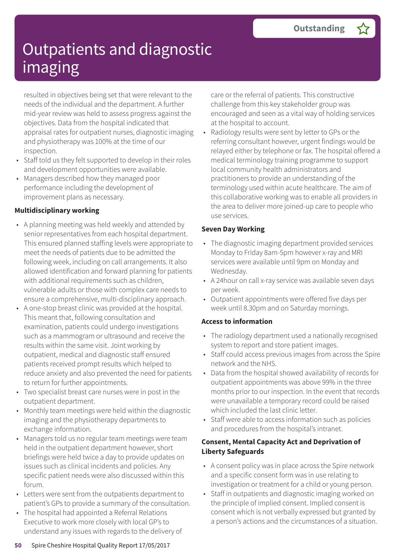resulted in objectives being set that were relevant to the needs of the individual and the department. A further mid-year review was held to assess progress against the objectives. Data from the hospital indicated that appraisal rates for outpatient nurses, diagnostic imaging and physiotherapy was 100% at the time of our inspection.

- Staff told us they felt supported to develop in their roles and development opportunities were available.
- Managers described how they managed poor performance including the development of improvement plans as necessary.

### **Multidisciplinary working**

- A planning meeting was held weekly and attended by senior representatives from each hospital department. This ensured planned staffing levels were appropriate to meet the needs of patients due to be admitted the following week, including on call arrangements. It also allowed identification and forward planning for patients with additional requirements such as children, vulnerable adults or those with complex care needs to ensure a comprehensive, multi-disciplinary approach.
- A one-stop breast clinic was provided at the hospital. This meant that, following consultation and examination, patients could undergo investigations such as a mammogram or ultrasound and receive the results within the same visit. Joint working by outpatient, medical and diagnostic staff ensured patients received prompt results which helped to reduce anxiety and also prevented the need for patients to return for further appointments.
- Two specialist breast care nurses were in post in the outpatient department.
- Monthly team meetings were held within the diagnostic imaging and the physiotherapy departments to exchange information.
- Managers told us no regular team meetings were team held in the outpatient department however, short briefings were held twice a day to provide updates on issues such as clinical incidents and policies. Any specific patient needs were also discussed within this forum.
- Letters were sent from the outpatients department to patient's GPs to provide a summary of the consultation.
- The hospital had appointed a Referral Relations Executive to work more closely with local GP's to understand any issues with regards to the delivery of

care or the referral of patients. This constructive challenge from this key stakeholder group was encouraged and seen as a vital way of holding services at the hospital to account.

Radiology results were sent by letter to GPs or the referring consultant however, urgent findings would be relayed either by telephone or fax. The hospital offered a medical terminology training programme to support local community health administrators and practitioners to provide an understanding of the terminology used within acute healthcare. The aim of this collaborative working was to enable all providers in the area to deliver more joined-up care to people who use services.

### **Seven Day Working**

- The diagnostic imaging department provided services Monday to Friday 8am-5pm however x-ray and MRI services were available until 9pm on Monday and Wednesday.
- A 24hour on call x-ray service was available seven days per week.
- Outpatient appointments were offered five days per week until 8.30pm and on Saturday mornings.

### **Access to information**

- The radiology department used a nationally recognised system to report and store patient images.
- Staff could access previous images from across the Spire network and the NHS.
- Data from the hospital showed availability of records for outpatient appointments was above 99% in the three months prior to our inspection. In the event that records were unavailable a temporary record could be raised which included the last clinic letter.
- Staff were able to access information such as policies and procedures from the hospital's intranet.

#### **Consent, Mental Capacity Act and Deprivation of Liberty Safeguards**

- A consent policy was in place across the Spire network and a specific consent form was in use relating to investigation or treatment for a child or young person.
- Staff in outpatients and diagnostic imaging worked on the principle of implied consent. Implied consent is consent which is not verbally expressed but granted by a person's actions and the circumstances of a situation.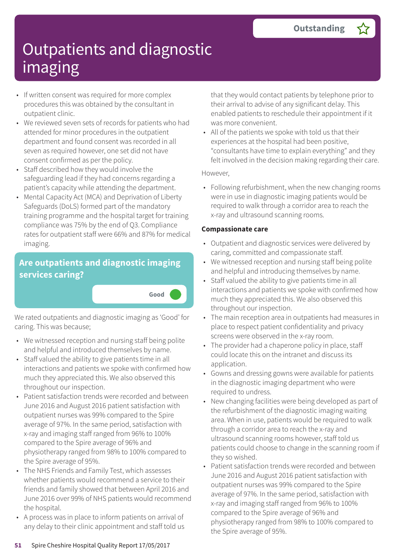- If written consent was required for more complex procedures this was obtained by the consultant in outpatient clinic.
- We reviewed seven sets of records for patients who had attended for minor procedures in the outpatient department and found consent was recorded in all seven as required however, one set did not have consent confirmed as per the policy.
- Staff described how they would involve the safeguarding lead if they had concerns regarding a patient's capacity while attending the department.
- Mental Capacity Act (MCA) and Deprivation of Liberty Safeguards (DoLS) formed part of the mandatory training programme and the hospital target for training compliance was 75% by the end of Q3. Compliance rates for outpatient staff were 66% and 87% for medical imaging.

### **Are outpatients and diagnostic imaging services caring?**

We rated outpatients and diagnostic imaging as 'Good' for caring. This was because;

**Good –––**

- We witnessed reception and nursing staff being polite and helpful and introduced themselves by name.
- Staff valued the ability to give patients time in all interactions and patients we spoke with confirmed how much they appreciated this. We also observed this throughout our inspection.
- Patient satisfaction trends were recorded and between June 2016 and August 2016 patient satisfaction with outpatient nurses was 99% compared to the Spire average of 97%. In the same period, satisfaction with x-ray and imaging staff ranged from 96% to 100% compared to the Spire average of 96% and physiotherapy ranged from 98% to 100% compared to the Spire average of 95%.
- The NHS Friends and Family Test, which assesses whether patients would recommend a service to their friends and family showed that between April 2016 and June 2016 over 99% of NHS patients would recommend the hospital.
- A process was in place to inform patients on arrival of any delay to their clinic appointment and staff told us

that they would contact patients by telephone prior to their arrival to advise of any significant delay. This enabled patients to reschedule their appointment if it was more convenient.

• All of the patients we spoke with told us that their experiences at the hospital had been positive, "consultants have time to explain everything" and they felt involved in the decision making regarding their care.

#### However,

• Following refurbishment, when the new changing rooms were in use in diagnostic imaging patients would be required to walk through a corridor area to reach the x-ray and ultrasound scanning rooms.

#### **Compassionate care**

- Outpatient and diagnostic services were delivered by caring, committed and compassionate staff.
- We witnessed reception and nursing staff being polite and helpful and introducing themselves by name.
- Staff valued the ability to give patients time in all interactions and patients we spoke with confirmed how much they appreciated this. We also observed this throughout our inspection.
- The main reception area in outpatients had measures in place to respect patient confidentiality and privacy screens were observed in the x-ray room.
- The provider had a chaperone policy in place, staff could locate this on the intranet and discuss its application.
- Gowns and dressing gowns were available for patients in the diagnostic imaging department who were required to undress.
- New changing facilities were being developed as part of the refurbishment of the diagnostic imaging waiting area. When in use, patients would be required to walk through a corridor area to reach the x-ray and ultrasound scanning rooms however, staff told us patients could choose to change in the scanning room if they so wished.
- Patient satisfaction trends were recorded and between June 2016 and August 2016 patient satisfaction with outpatient nurses was 99% compared to the Spire average of 97%. In the same period, satisfaction with x-ray and imaging staff ranged from 96% to 100% compared to the Spire average of 96% and physiotherapy ranged from 98% to 100% compared to the Spire average of 95%.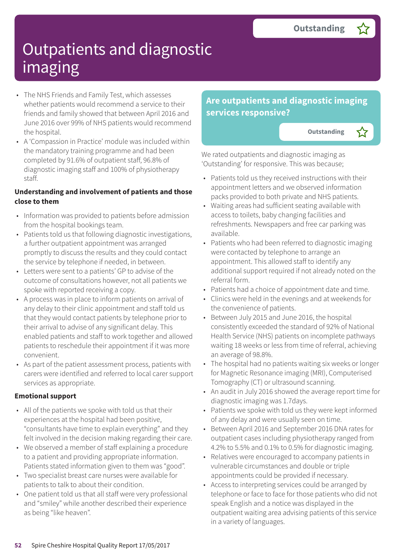- The NHS Friends and Family Test, which assesses whether patients would recommend a service to their friends and family showed that between April 2016 and June 2016 over 99% of NHS patients would recommend the hospital.
- A 'Compassion in Practice' module was included within the mandatory training programme and had been completed by 91.6% of outpatient staff, 96.8% of diagnostic imaging staff and 100% of physiotherapy staff.

#### **Understanding and involvement of patients and those close to them**

- Information was provided to patients before admission from the hospital bookings team.
- Patients told us that following diagnostic investigations, a further outpatient appointment was arranged promptly to discuss the results and they could contact the service by telephone if needed, in between.
- Letters were sent to a patients' GP to advise of the outcome of consultations however, not all patients we spoke with reported receiving a copy.
- A process was in place to inform patients on arrival of any delay to their clinic appointment and staff told us that they would contact patients by telephone prior to their arrival to advise of any significant delay. This enabled patients and staff to work together and allowed patients to reschedule their appointment if it was more convenient.
- As part of the patient assessment process, patients with carers were identified and referred to local carer support services as appropriate.

#### **Emotional support**

- All of the patients we spoke with told us that their experiences at the hospital had been positive, "consultants have time to explain everything" and they felt involved in the decision making regarding their care.
- We observed a member of staff explaining a procedure to a patient and providing appropriate information. Patients stated information given to them was "good".
- Two specialist breast care nurses were available for patients to talk to about their condition.
- One patient told us that all staff were very professional and "smiley" while another described their experience as being "like heaven".

### **Are outpatients and diagnostic imaging services responsive?**

**Outstanding** 

We rated outpatients and diagnostic imaging as 'Outstanding' for responsive. This was because;

- Patients told us they received instructions with their appointment letters and we observed information packs provided to both private and NHS patients.
- Waiting areas had sufficient seating available with access to toilets, baby changing facilities and refreshments. Newspapers and free car parking was available.
- Patients who had been referred to diagnostic imaging were contacted by telephone to arrange an appointment. This allowed staff to identify any additional support required if not already noted on the referral form.
- Patients had a choice of appointment date and time.
- Clinics were held in the evenings and at weekends for the convenience of patients.
- Between July 2015 and June 2016, the hospital consistently exceeded the standard of 92% of National Health Service (NHS) patients on incomplete pathways waiting 18 weeks or less from time of referral, achieving an average of 98.8%.
- The hospital had no patients waiting six weeks or longer for Magnetic Resonance imaging (MRI), Computerised Tomography (CT) or ultrasound scanning.
- An audit in July 2016 showed the average report time for diagnostic imaging was 1.7days.
- Patients we spoke with told us they were kept informed of any delay and were usually seen on time.
- Between April 2016 and September 2016 DNA rates for outpatient cases including physiotherapy ranged from 4.2% to 5.5% and 0.1% to 0.5% for diagnostic imaging.
- Relatives were encouraged to accompany patients in vulnerable circumstances and double or triple appointments could be provided if necessary.
- Access to interpreting services could be arranged by telephone or face to face for those patients who did not speak English and a notice was displayed in the outpatient waiting area advising patients of this service in a variety of languages.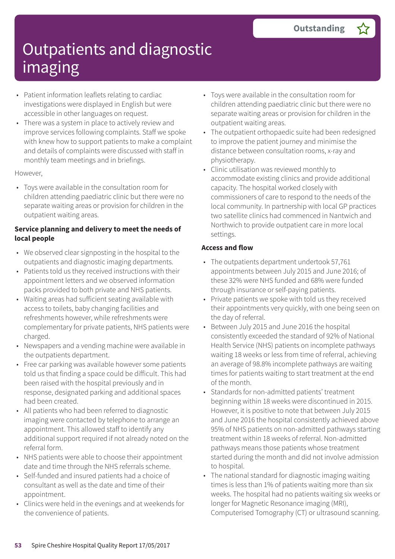- Patient information leaflets relating to cardiac investigations were displayed in English but were accessible in other languages on request.
- There was a system in place to actively review and improve services following complaints. Staff we spoke with knew how to support patients to make a complaint and details of complaints were discussed with staff in monthly team meetings and in briefings.

#### However,

• Toys were available in the consultation room for children attending paediatric clinic but there were no separate waiting areas or provision for children in the outpatient waiting areas.

#### **Service planning and delivery to meet the needs of local people**

- We observed clear signposting in the hospital to the outpatients and diagnostic imaging departments.
- Patients told us they received instructions with their appointment letters and we observed information packs provided to both private and NHS patients.
- Waiting areas had sufficient seating available with access to toilets, baby changing facilities and refreshments however, while refreshments were complementary for private patients, NHS patients were charged.
- Newspapers and a vending machine were available in the outpatients department.
- Free car parking was available however some patients told us that finding a space could be difficult. This had been raised with the hospital previously and in response, designated parking and additional spaces had been created.
- All patients who had been referred to diagnostic imaging were contacted by telephone to arrange an appointment. This allowed staff to identify any additional support required if not already noted on the referral form.
- NHS patients were able to choose their appointment date and time through the NHS referrals scheme.
- Self-funded and insured patients had a choice of consultant as well as the date and time of their appointment.
- Clinics were held in the evenings and at weekends for the convenience of patients.
- Toys were available in the consultation room for children attending paediatric clinic but there were no separate waiting areas or provision for children in the outpatient waiting areas.
- The outpatient orthopaedic suite had been redesigned to improve the patient journey and minimise the distance between consultation rooms, x-ray and physiotherapy.
- Clinic utilisation was reviewed monthly to accommodate existing clinics and provide additional capacity. The hospital worked closely with commissioners of care to respond to the needs of the local community. In partnership with local GP practices two satellite clinics had commenced in Nantwich and Northwich to provide outpatient care in more local settings.

#### **Access and flow**

- The outpatients department undertook 57,761 appointments between July 2015 and June 2016; of these 32% were NHS funded and 68% were funded through insurance or self-paying patients.
- Private patients we spoke with told us they received their appointments very quickly, with one being seen on the day of referral.
- Between July 2015 and June 2016 the hospital consistently exceeded the standard of 92% of National Health Service (NHS) patients on incomplete pathways waiting 18 weeks or less from time of referral, achieving an average of 98.8% incomplete pathways are waiting times for patients waiting to start treatment at the end of the month.
- Standards for non-admitted patients' treatment beginning within 18 weeks were discontinued in 2015. However, it is positive to note that between July 2015 and June 2016 the hospital consistently achieved above 95% of NHS patients on non-admitted pathways starting treatment within 18 weeks of referral. Non-admitted pathways means those patients whose treatment started during the month and did not involve admission to hospital.
- The national standard for diagnostic imaging waiting times is less than 1% of patients waiting more than six weeks. The hospital had no patients waiting six weeks or longer for Magnetic Resonance imaging (MRI), Computerised Tomography (CT) or ultrasound scanning.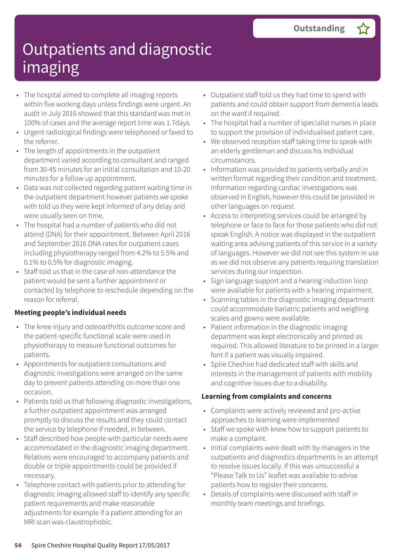- The hospital aimed to complete all imaging reports within five working days unless findings were urgent. An audit in July 2016 showed that this standard was met in 100% of cases and the average report time was 1.7days.
- Urgent radiological findings were telephoned or faxed to the referrer.
- The length of appointments in the outpatient department varied according to consultant and ranged from 30-45 minutes for an initial consultation and 10-20 minutes for a follow up appointment.
- Data was not collected regarding patient waiting time in the outpatient department however patients we spoke with told us they were kept informed of any delay and were usually seen on time.
- The hospital had a number of patients who did not attend (DNA) for their appointment. Between April 2016 and September 2016 DNA rates for outpatient cases including physiotherapy ranged from 4.2% to 5.5% and 0.1% to 0.5% for diagnostic imaging.
- Staff told us that in the case of non-attendance the patient would be sent a further appointment or contacted by telephone to reschedule depending on the reason for referral.

#### **Meeting people's individual needs**

- The knee injury and osteoarthritis outcome score and the patient-specific functional scale were used in physiotherapy to measure functional outcomes for patients.
- Appointments for outpatient consultations and diagnostic investigations were arranged on the same day to prevent patients attending on more than one occasion.
- Patients told us that following diagnostic investigations, a further outpatient appointment was arranged promptly to discuss the results and they could contact the service by telephone if needed, in between.
- Staff described how people with particular needs were accommodated in the diagnostic imaging department. Relatives were encouraged to accompany patients and double or triple appointments could be provided if necessary.
- Telephone contact with patients prior to attending for diagnostic imaging allowed staff to identify any specific patient requirements and make reasonable adjustments for example if a patient attending for an MRI scan was claustrophobic.
- Outpatient staff told us they had time to spend with patients and could obtain support from dementia leads on the ward if required.
- The hospital had a number of specialist nurses in place to support the provision of individualised patient care.
- We observed reception staff taking time to speak with an elderly gentleman and discuss his individual circumstances.
- Information was provided to patients verbally and in written format regarding their condition and treatment. Information regarding cardiac investigations was observed in English, however this could be provided in other languages on request.
- Access to interpreting services could be arranged by telephone or face to face for those patients who did not speak English. A notice was displayed in the outpatient waiting area advising patients of this service in a variety of languages. However we did not see this system in use as we did not observe any patients requiring translation services during our inspection.
- Sign language support and a hearing induction loop were available for patients with a hearing impairment.
- Scanning tables in the diagnostic imaging department could accommodate bariatric patients and weighing scales and gowns were available.
- Patient information in the diagnostic imaging department was kept electronically and printed as required. This allowed literature to be printed in a larger font if a patient was visually impaired.
- Spire Cheshire had dedicated staff with skills and interests in the management of patients with mobility and cognitive issues due to a disability.

#### **Learning from complaints and concerns**

- Complaints were actively reviewed and pro-active approaches to learning were implemented
- Staff we spoke with knew how to support patients to make a complaint.
- Initial complaints were dealt with by managers in the outpatients and diagnostics departments in an attempt to resolve issues locally. If this was unsuccessful a "Please Talk to Us" leaflet was available to advise patients how to register their concerns.
- Details of complaints were discussed with staff in monthly team meetings and briefings.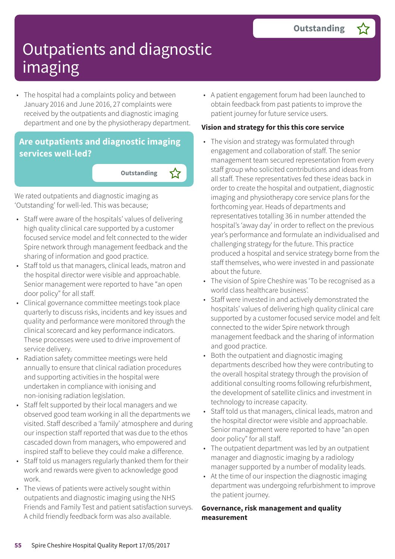• The hospital had a complaints policy and between January 2016 and June 2016, 27 complaints were received by the outpatients and diagnostic imaging department and one by the physiotherapy department.

### **Are outpatients and diagnostic imaging services well-led?**

**Outstanding** 

We rated outpatients and diagnostic imaging as 'Outstanding' for well-led. This was because;

- Staff were aware of the hospitals' values of delivering high quality clinical care supported by a customer focused service model and felt connected to the wider Spire network through management feedback and the sharing of information and good practice.
- Staff told us that managers, clinical leads, matron and the hospital director were visible and approachable. Senior management were reported to have "an open door policy" for all staff.
- Clinical governance committee meetings took place quarterly to discuss risks, incidents and key issues and quality and performance were monitored through the clinical scorecard and key performance indicators. These processes were used to drive improvement of service delivery.
- Radiation safety committee meetings were held annually to ensure that clinical radiation procedures and supporting activities in the hospital were undertaken in compliance with ionising and non-ionising radiation legislation.
- Staff felt supported by their local managers and we observed good team working in all the departments we visited. Staff described a 'family' atmosphere and during our inspection staff reported that was due to the ethos cascaded down from managers, who empowered and inspired staff to believe they could make a difference.
- Staff told us managers regularly thanked them for their work and rewards were given to acknowledge good work.
- The views of patients were actively sought within outpatients and diagnostic imaging using the NHS Friends and Family Test and patient satisfaction surveys. A child friendly feedback form was also available.

• A patient engagement forum had been launched to obtain feedback from past patients to improve the patient journey for future service users.

#### **Vision and strategy for this this core service**

- The vision and strategy was formulated through engagement and collaboration of staff. The senior management team secured representation from every staff group who solicited contributions and ideas from all staff. These representatives fed these ideas back in order to create the hospital and outpatient, diagnostic imaging and physiotherapy core service plans for the forthcoming year. Heads of departments and representatives totalling 36 in number attended the hospital's 'away day' in order to reflect on the previous year's performance and formulate an individualised and challenging strategy for the future. This practice produced a hospital and service strategy borne from the staff themselves, who were invested in and passionate about the future.
- The vision of Spire Cheshire was 'To be recognised as a world class healthcare business'.
- Staff were invested in and actively demonstrated the hospitals' values of delivering high quality clinical care supported by a customer focused service model and felt connected to the wider Spire network through management feedback and the sharing of information and good practice.
- Both the outpatient and diagnostic imaging departments described how they were contributing to the overall hospital strategy through the provision of additional consulting rooms following refurbishment, the development of satellite clinics and investment in technology to increase capacity.
- Staff told us that managers, clinical leads, matron and the hospital director were visible and approachable. Senior management were reported to have "an open door policy" for all staff.
- The outpatient department was led by an outpatient manager and diagnostic imaging by a radiology manager supported by a number of modality leads.
- At the time of our inspection the diagnostic imaging department was undergoing refurbishment to improve the patient journey.

#### **Governance, risk management and quality measurement**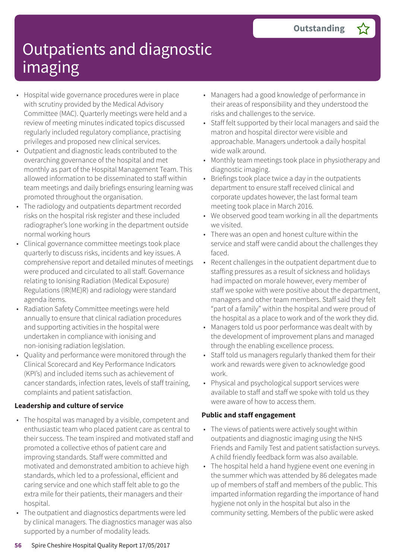- Hospital wide governance procedures were in place with scrutiny provided by the Medical Advisory Committee (MAC). Quarterly meetings were held and a review of meeting minutes indicated topics discussed regularly included regulatory compliance, practising privileges and proposed new clinical services.
- Outpatient and diagnostic leads contributed to the overarching governance of the hospital and met monthly as part of the Hospital Management Team. This allowed information to be disseminated to staff within team meetings and daily briefings ensuring learning was promoted throughout the organisation.
- The radiology and outpatients department recorded risks on the hospital risk register and these included radiographer's lone working in the department outside normal working hours
- Clinical governance committee meetings took place quarterly to discuss risks, incidents and key issues. A comprehensive report and detailed minutes of meetings were produced and circulated to all staff. Governance relating to Ionising Radiation (Medical Exposure) Regulations (IR(ME)R) and radiology were standard agenda items.
- Radiation Safety Committee meetings were held annually to ensure that clinical radiation procedures and supporting activities in the hospital were undertaken in compliance with ionising and non-ionising radiation legislation.
- Quality and performance were monitored through the Clinical Scorecard and Key Performance Indicators (KPI's) and included items such as achievement of cancer standards, infection rates, levels of staff training, complaints and patient satisfaction.

#### **Leadership and culture of service**

- The hospital was managed by a visible, competent and enthusiastic team who placed patient care as central to their success. The team inspired and motivated staff and promoted a collective ethos of patient care and improving standards. Staff were committed and motivated and demonstrated ambition to achieve high standards, which led to a professional, efficient and caring service and one which staff felt able to go the extra mile for their patients, their managers and their hospital.
- The outpatient and diagnostics departments were led by clinical managers. The diagnostics manager was also supported by a number of modality leads.
- Managers had a good knowledge of performance in their areas of responsibility and they understood the risks and challenges to the service.
- Staff felt supported by their local managers and said the matron and hospital director were visible and approachable. Managers undertook a daily hospital wide walk around.
- Monthly team meetings took place in physiotherapy and diagnostic imaging.
- Briefings took place twice a day in the outpatients department to ensure staff received clinical and corporate updates however, the last formal team meeting took place in March 2016.
- We observed good team working in all the departments we visited.
- There was an open and honest culture within the service and staff were candid about the challenges they faced.
- Recent challenges in the outpatient department due to staffing pressures as a result of sickness and holidays had impacted on morale however, every member of staff we spoke with were positive about the department, managers and other team members. Staff said they felt "part of a family" within the hospital and were proud of the hospital as a place to work and of the work they did.
- Managers told us poor performance was dealt with by the development of improvement plans and managed through the enabling excellence process.
- Staff told us managers regularly thanked them for their work and rewards were given to acknowledge good work.
- Physical and psychological support services were available to staff and staff we spoke with told us they were aware of how to access them.

#### **Public and staff engagement**

- The views of patients were actively sought within outpatients and diagnostic imaging using the NHS Friends and Family Test and patient satisfaction surveys. A child friendly feedback form was also available.
- The hospital held a hand hygiene event one evening in the summer which was attended by 86 delegates made up of members of staff and members of the public. This imparted information regarding the importance of hand hygiene not only in the hospital but also in the community setting. Members of the public were asked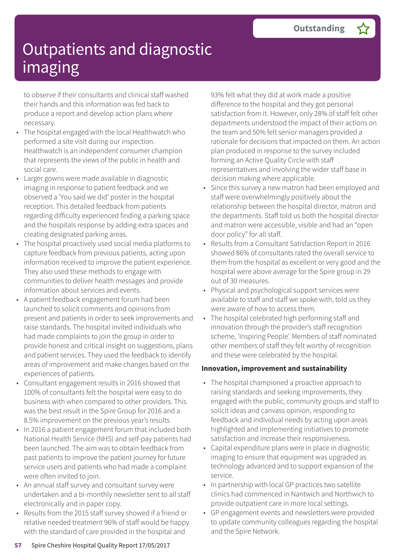to observe if their consultants and clinical staff washed their hands and this information was fed back to produce a report and develop action plans where necessary.

- The hospital engaged with the local Healthwatch who performed a site visit during our inspection. Healthwatch is an independent consumer champion that represents the views of the public in health and social care.
- Larger gowns were made available in diagnostic imaging in response to patient feedback and we observed a 'You said we did' poster in the hospital reception. This detailed feedback from patients regarding difficulty experienced finding a parking space and the hospitals response by adding extra spaces and creating designated parking areas.
- The hospital proactively used social media platforms to capture feedback from previous patients, acting upon information received to improve the patient experience. They also used these methods to engage with communities to deliver health messages and provide information about services and events.
- A patient feedback engagement forum had been launched to solicit comments and opinions from present and patients in order to seek improvements and raise standards. The hospital invited individuals who had made complaints to join the group in order to provide honest and critical insight on suggestions, plans and patient services. They used the feedback to identify areas of improvement and make changes based on the experiences of patients.
- Consultant engagement results in 2016 showed that 100% of consultants felt the hospital were easy to do business with when compared to other providers. This was the best result in the Spire Group for 2016 and a 8.5% improvement on the previous year's results
- In 2016 a patient engagement forum that included both National Health Service (NHS) and self-pay patients had been launched. The aim was to obtain feedback from past patients to improve the patient journey for future service users and patients who had made a complaint were often invited to join.
- An annual staff survey and consultant survey were undertaken and a bi-monthly newsletter sent to all staff electronically and in paper copy.
- Results from the 2015 staff survey showed if a friend or relative needed treatment 96% of staff would be happy with the standard of care provided in the hospital and

93% felt what they did at work made a positive difference to the hospital and they got personal satisfaction from it. However, only 28% of staff felt other departments understood the impact of their actions on the team and 50% felt senior managers provided a rationale for decisions that impacted on them. An action plan produced in response to the survey included forming an Active Quality Circle with staff representatives and involving the wider staff base in decision making where applicable.

- Since this survey a new matron had been employed and staff were overwhelmingly positively about the relationship between the hospital director, matron and the departments. Staff told us both the hospital director and matron were accessible, visible and had an "open door policy" for all staff.
- Results from a Consultant Satisfaction Report in 2016 showed 86% of consultants rated the overall service to them from the hospital as excellent or very good and the hospital were above average for the Spire group in 29 out of 30 measures.
- Physical and psychological support services were available to staff and staff we spoke with, told us they were aware of how to access them.
- The hospital celebrated high performing staff and innovation through the provider's staff recognition scheme, 'Inspiring People'. Members of staff nominated other members of staff they felt worthy of recognition and these were celebrated by the hospital.

#### **Innovation, improvement and sustainability**

- The hospital championed a proactive approach to raising standards and seeking improvements, they engaged with the public, community groups and staff to solicit ideas and canvass opinion, responding to feedback and individual needs by acting upon areas highlighted and implementing initiatives to promote satisfaction and increase their responsiveness.
- Capital expenditure plans were in place in diagnostic imaging to ensure that equipment was upgraded as technology advanced and to support expansion of the service.
- In partnership with local GP practices two satellite clinics had commenced in Nantwich and Northwich to provide outpatient care in more local settings.
- GP engagement events and newsletters were provided to update community colleagues regarding the hospital and the Spire Network.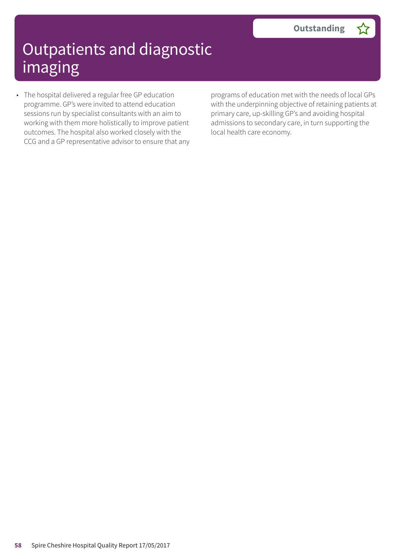• The hospital delivered a regular free GP education programme. GP's were invited to attend education sessions run by specialist consultants with an aim to working with them more holistically to improve patient outcomes. The hospital also worked closely with the CCG and a GP representative advisor to ensure that any programs of education met with the needs of local GPs with the underpinning objective of retaining patients at primary care, up-skilling GP's and avoiding hospital admissions to secondary care, in turn supporting the local health care economy.